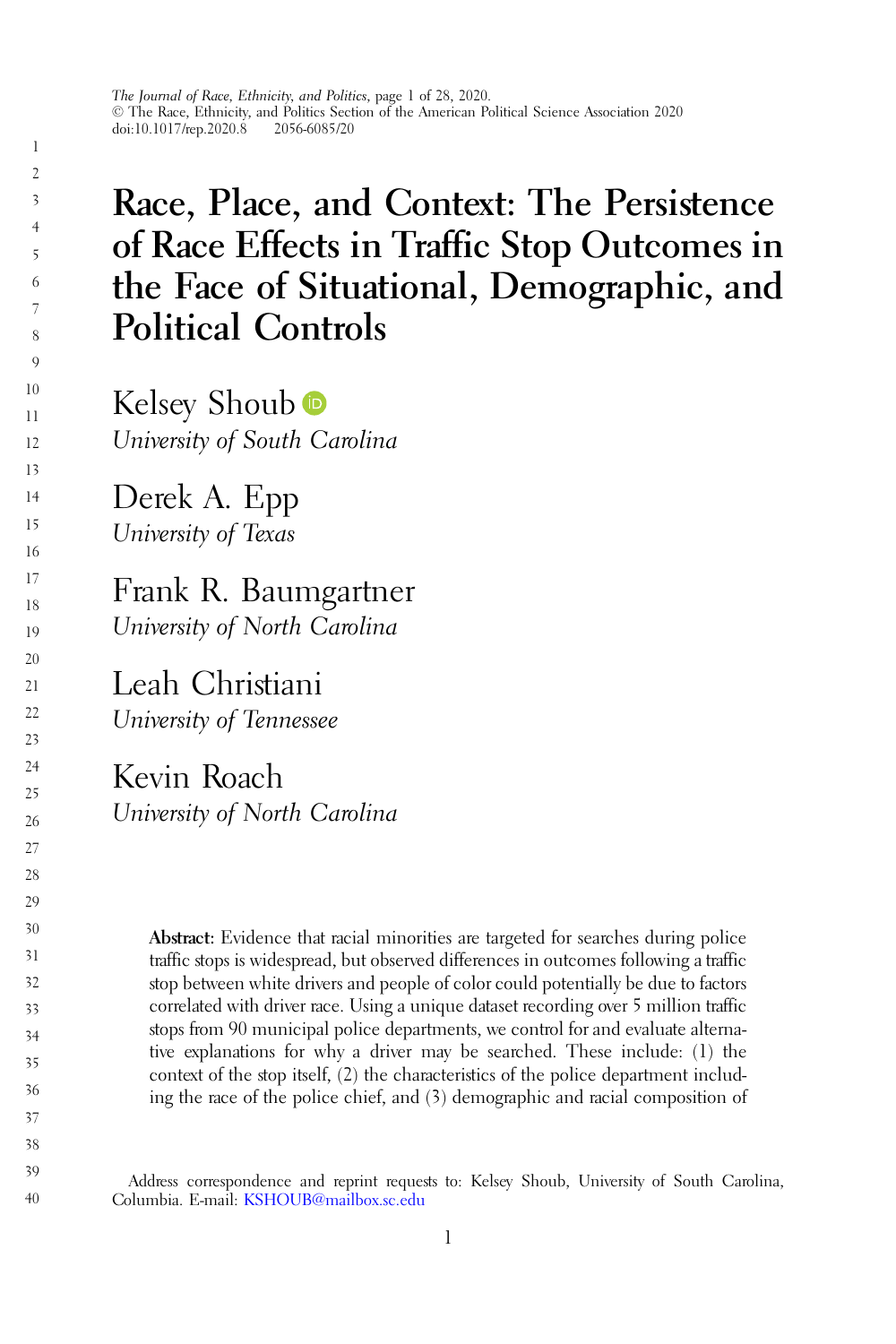The Journal of Race, Ethnicity, and Politics, page 1 of 28, 2020. © The Race, Ethnicity, and Politics Section of the American Political Science Association 2020 doi:10.1017/rep.2020.8 2056-6085/20

# Race, Place, and Context: The Persistence of Race Effects in Traffic Stop Outcomes in the Face of Situational, Demographic, and Political Controls

Kelsey Shoub  $\bullet$ University of South Carolina

Derek A. Epp University of Texas

Frank R. Baumgartner University of North Carolina

Leah Christiani University of Tennessee

Kevin Roach University of North Carolina

> Abstract: Evidence that racial minorities are targeted for searches during police traffic stops is widespread, but observed differences in outcomes following a traffic stop between white drivers and people of color could potentially be due to factors correlated with driver race. Using a unique dataset recording over 5 million traffic stops from 90 municipal police departments, we control for and evaluate alternative explanations for why a driver may be searched. These include: (1) the context of the stop itself, (2) the characteristics of the police department including the race of the police chief, and (3) demographic and racial composition of

Address correspondence and reprint requests to: Kelsey Shoub, University of South Carolina, Columbia. E-mail: [KSHOUB@mailbox.sc.edu](mailto:KSHOUB@mailbox.sc.edu)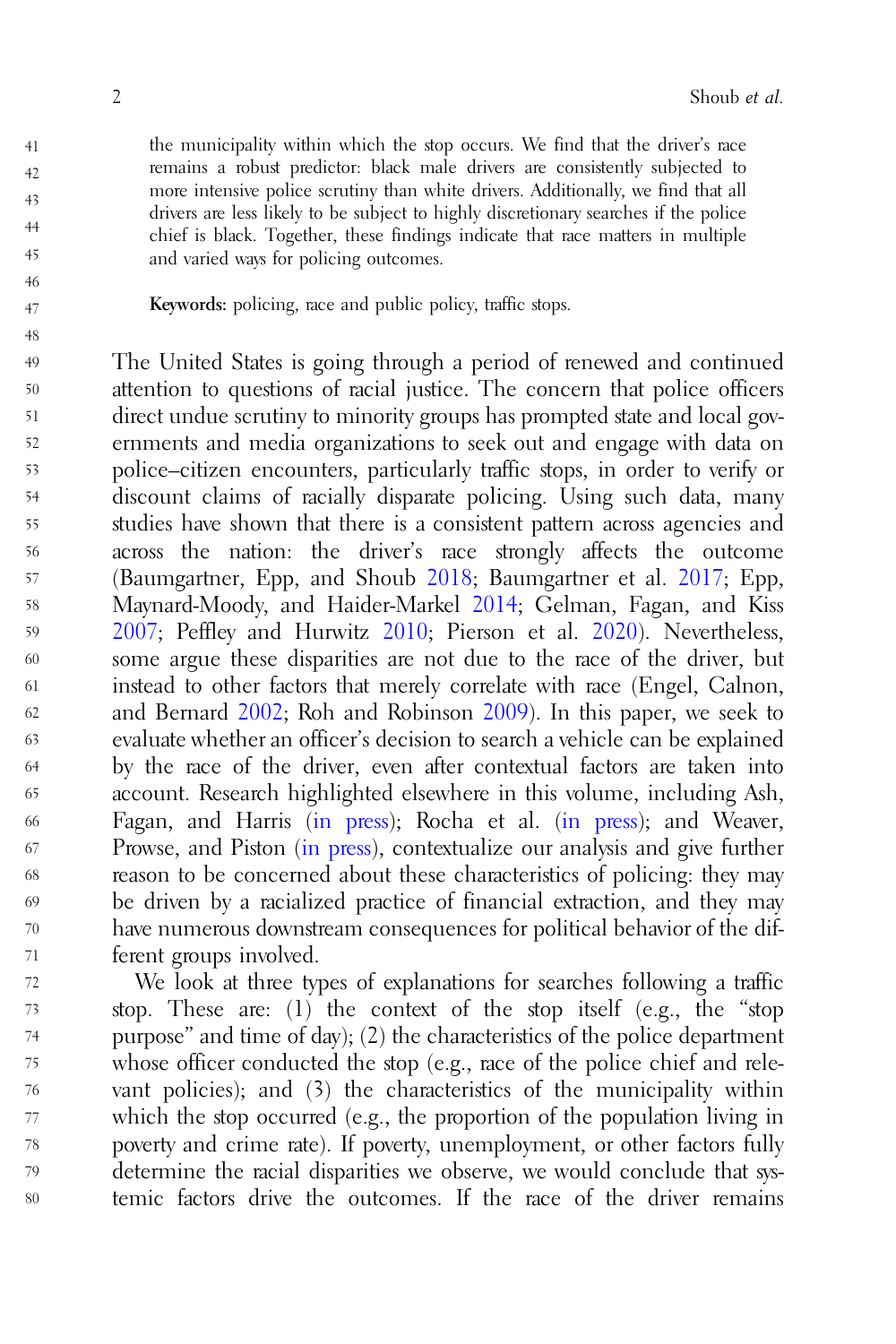the municipality within which the stop occurs. We find that the driver's race remains a robust predictor: black male drivers are consistently subjected to more intensive police scrutiny than white drivers. Additionally, we find that all drivers are less likely to be subject to highly discretionary searches if the police chief is black. Together, these findings indicate that race matters in multiple and varied ways for policing outcomes.

Keywords: policing, race and public policy, traffic stops.

The United States is going through a period of renewed and continued attention to questions of racial justice. The concern that police officers direct undue scrutiny to minority groups has prompted state and local governments and media organizations to seek out and engage with data on police–citizen encounters, particularly traffic stops, in order to verify or discount claims of racially disparate policing. Using such data, many studies have shown that there is a consistent pattern across agencies and across the nation: the driver's race strongly affects the outcome (Baumgartner, Epp, and Shoub [2018;](#page-24-0) Baumgartner et al. [2017;](#page-24-0) Epp, Maynard-Moody, and Haider-Markel [2014;](#page-25-0) Gelman, Fagan, and Kiss [2007](#page-25-0); Peffley and Hurwitz [2010](#page-26-0); Pierson et al. [2020](#page-26-0)). Nevertheless, some argue these disparities are not due to the race of the driver, but instead to other factors that merely correlate with race (Engel, Calnon, and Bernard [2002;](#page-25-0) Roh and Robinson [2009\)](#page-26-0). In this paper, we seek to evaluate whether an officer's decision to search a vehicle can be explained by the race of the driver, even after contextual factors are taken into account. Research highlighted elsewhere in this volume, including Ash, Fagan, and Harris ([in press](#page-24-0)); Rocha et al. ([in press](#page-26-0)); and Weaver, Prowse, and Piston [\(in press](#page-27-0)), contextualize our analysis and give further reason to be concerned about these characteristics of policing: they may be driven by a racialized practice of financial extraction, and they may have numerous downstream consequences for political behavior of the different groups involved. 49 50 51 52 53 54 55 56 57 58 59 60 61 62 63 64 65 66 67 68 69 70 71

We look at three types of explanations for searches following a traffic stop. These are: (1) the context of the stop itself (e.g., the "stop purpose" and time of day); (2) the characteristics of the police department whose officer conducted the stop (e.g., race of the police chief and relevant policies); and (3) the characteristics of the municipality within which the stop occurred (e.g., the proportion of the population living in poverty and crime rate). If poverty, unemployment, or other factors fully determine the racial disparities we observe, we would conclude that systemic factors drive the outcomes. If the race of the driver remains 72 73 74 75 76 77 78 79 80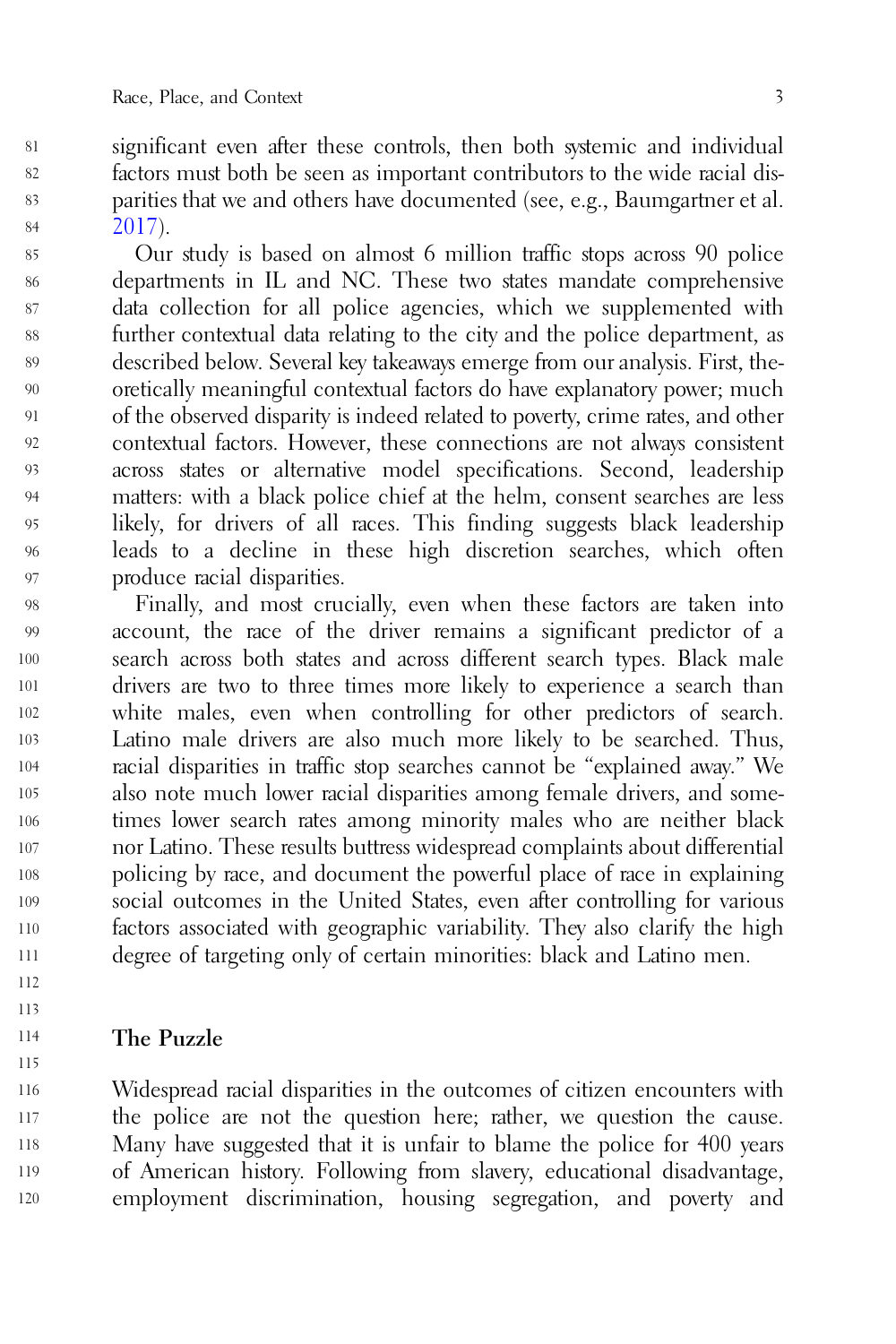significant even after these controls, then both systemic and individual factors must both be seen as important contributors to the wide racial disparities that we and others have documented (see, e.g., Baumgartner et al. [2017](#page-24-0)). 81 82 83 84

Our study is based on almost 6 million traffic stops across 90 police departments in IL and NC. These two states mandate comprehensive data collection for all police agencies, which we supplemented with further contextual data relating to the city and the police department, as described below. Several key takeaways emerge from our analysis. First, theoretically meaningful contextual factors do have explanatory power; much of the observed disparity is indeed related to poverty, crime rates, and other contextual factors. However, these connections are not always consistent across states or alternative model specifications. Second, leadership matters: with a black police chief at the helm, consent searches are less likely, for drivers of all races. This finding suggests black leadership leads to a decline in these high discretion searches, which often produce racial disparities. 85 86 87 88 89 90 91 92 93 94 95 96 97

Finally, and most crucially, even when these factors are taken into account, the race of the driver remains a significant predictor of a search across both states and across different search types. Black male drivers are two to three times more likely to experience a search than white males, even when controlling for other predictors of search. Latino male drivers are also much more likely to be searched. Thus, racial disparities in traffic stop searches cannot be "explained away." We also note much lower racial disparities among female drivers, and sometimes lower search rates among minority males who are neither black nor Latino. These results buttress widespread complaints about differential policing by race, and document the powerful place of race in explaining social outcomes in the United States, even after controlling for various factors associated with geographic variability. They also clarify the high degree of targeting only of certain minorities: black and Latino men. 98 99 100 101 102 103 104 105 106 107 108 109 110 111

112 113 114

115

# The Puzzle

Widespread racial disparities in the outcomes of citizen encounters with the police are not the question here; rather, we question the cause. Many have suggested that it is unfair to blame the police for 400 years of American history. Following from slavery, educational disadvantage, employment discrimination, housing segregation, and poverty and 116 117 118 119 120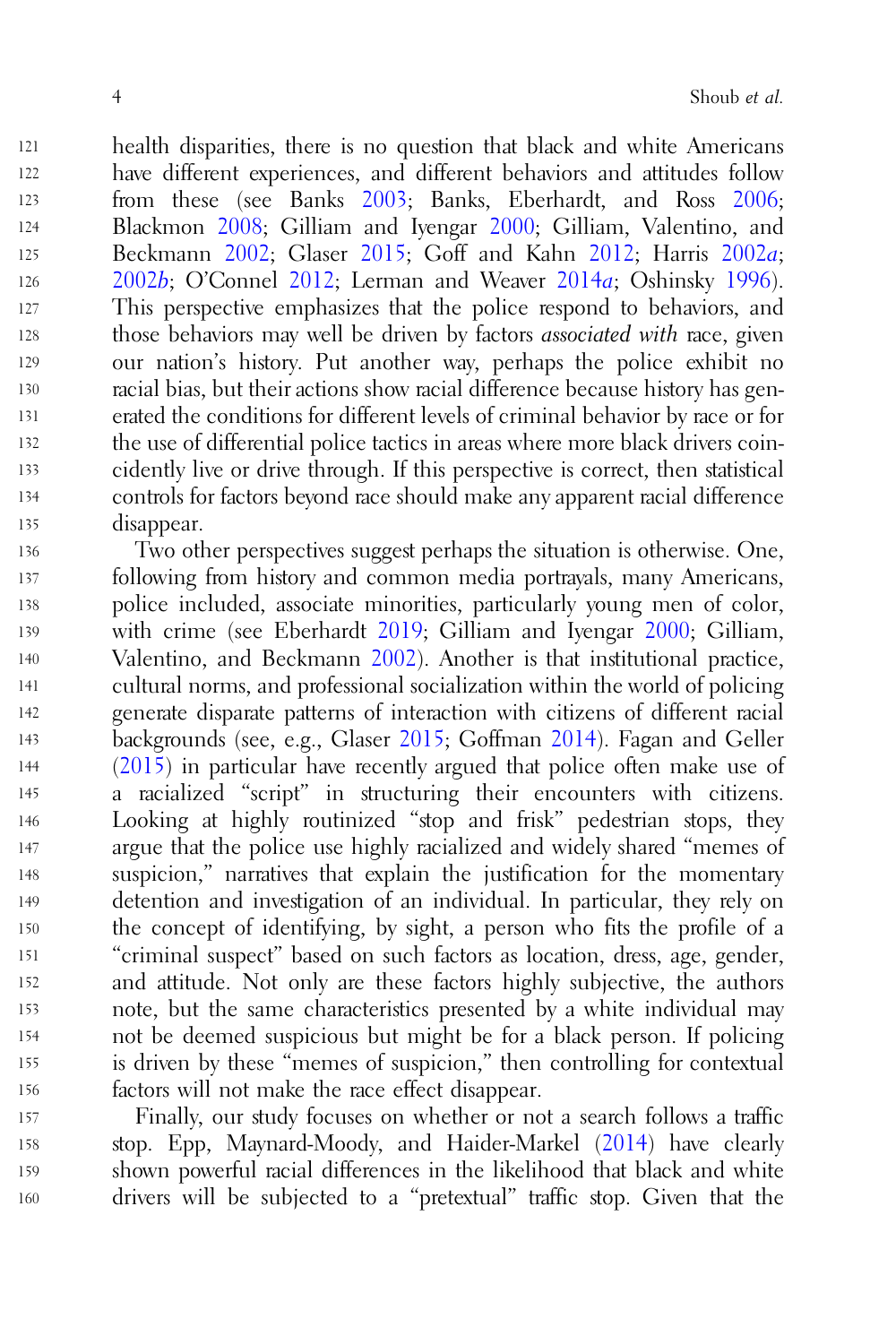health disparities, there is no question that black and white Americans have different experiences, and different behaviors and attitudes follow from these (see Banks [2003](#page-24-0); Banks, Eberhardt, and Ross [2006](#page-24-0); Blackmon [2008;](#page-24-0) Gilliam and Iyengar [2000;](#page-25-0) Gilliam, Valentino, and Beckmann [2002](#page-25-0); Glaser [2015;](#page-25-0) Goff and Kahn [2012;](#page-25-0) Harris [2002](#page-26-0)a;  $2002b$  $2002b$ ; O'Connel [2012](#page-26-0); Lerman and Weaver  $2014a$  $2014a$ ; Oshinsky [1996\)](#page-26-0). This perspective emphasizes that the police respond to behaviors, and those behaviors may well be driven by factors *associated with* race, given our nation's history. Put another way, perhaps the police exhibit no racial bias, but their actions show racial difference because history has generated the conditions for different levels of criminal behavior by race or for the use of differential police tactics in areas where more black drivers coincidently live or drive through. If this perspective is correct, then statistical controls for factors beyond race should make any apparent racial difference disappear. 121 122 123 124 125 126 127 128 129 130 131 132 133 134 135

Two other perspectives suggest perhaps the situation is otherwise. One, following from history and common media portrayals, many Americans, police included, associate minorities, particularly young men of color, with crime (see Eberhardt [2019;](#page-25-0) Gilliam and Iyengar [2000;](#page-25-0) Gilliam, Valentino, and Beckmann [2002\)](#page-25-0). Another is that institutional practice, cultural norms, and professional socialization within the world of policing generate disparate patterns of interaction with citizens of different racial backgrounds (see, e.g., Glaser [2015](#page-25-0); Goffman [2014\)](#page-26-0). Fagan and Geller ([2015\)](#page-25-0) in particular have recently argued that police often make use of a racialized "script" in structuring their encounters with citizens. Looking at highly routinized "stop and frisk" pedestrian stops, they argue that the police use highly racialized and widely shared "memes of suspicion," narratives that explain the justification for the momentary detention and investigation of an individual. In particular, they rely on the concept of identifying, by sight, a person who fits the profile of a "criminal suspect" based on such factors as location, dress, age, gender, and attitude. Not only are these factors highly subjective, the authors note, but the same characteristics presented by a white individual may not be deemed suspicious but might be for a black person. If policing is driven by these "memes of suspicion," then controlling for contextual factors will not make the race effect disappear. 136 137 138 139 140 141 142 143 144 145 146 147 148 149 150 151 152 153 154 155 156

Finally, our study focuses on whether or not a search follows a traffic stop. Epp, Maynard-Moody, and Haider-Markel [\(2014](#page-25-0)) have clearly shown powerful racial differences in the likelihood that black and white drivers will be subjected to a "pretextual" traffic stop. Given that the 157 158 159 160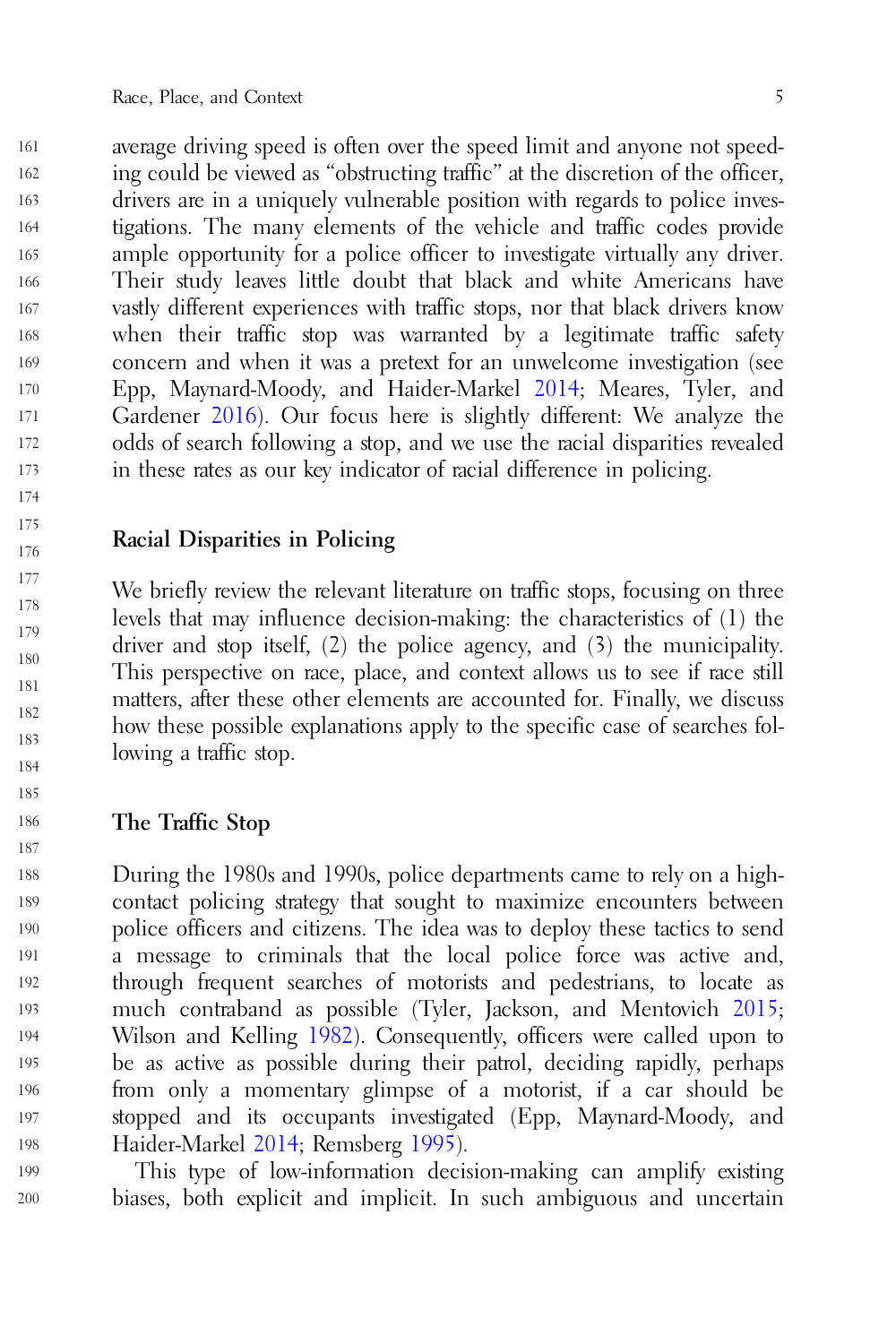Race, Place, and Context 5

average driving speed is often over the speed limit and anyone not speeding could be viewed as "obstructing traffic" at the discretion of the officer, drivers are in a uniquely vulnerable position with regards to police investigations. The many elements of the vehicle and traffic codes provide ample opportunity for a police officer to investigate virtually any driver. Their study leaves little doubt that black and white Americans have vastly different experiences with traffic stops, nor that black drivers know when their traffic stop was warranted by a legitimate traffic safety concern and when it was a pretext for an unwelcome investigation (see Epp, Maynard-Moody, and Haider-Markel [2014](#page-25-0); Meares, Tyler, and Gardener [2016\)](#page-26-0). Our focus here is slightly different: We analyze the odds of search following a stop, and we use the racial disparities revealed in these rates as our key indicator of racial difference in policing. 161 162 163 164 165 166 167 168 169 170 171 172 173

# Racial Disparities in Policing

We briefly review the relevant literature on traffic stops, focusing on three levels that may influence decision-making: the characteristics of (1) the driver and stop itself, (2) the police agency, and (3) the municipality. This perspective on race, place, and context allows us to see if race still matters, after these other elements are accounted for. Finally, we discuss how these possible explanations apply to the specific case of searches following a traffic stop.

# The Traffic Stop

During the 1980s and 1990s, police departments came to rely on a highcontact policing strategy that sought to maximize encounters between police officers and citizens. The idea was to deploy these tactics to send a message to criminals that the local police force was active and, through frequent searches of motorists and pedestrians, to locate as much contraband as possible (Tyler, Jackson, and Mentovich [2015](#page-27-0); Wilson and Kelling [1982](#page-27-0)). Consequently, officers were called upon to be as active as possible during their patrol, deciding rapidly, perhaps from only a momentary glimpse of a motorist, if a car should be stopped and its occupants investigated (Epp, Maynard-Moody, and Haider-Markel [2014](#page-25-0); Remsberg [1995\)](#page-26-0). 188 189 190 191 192 193 194 195 196 197 198

This type of low-information decision-making can amplify existing biases, both explicit and implicit. In such ambiguous and uncertain 199 200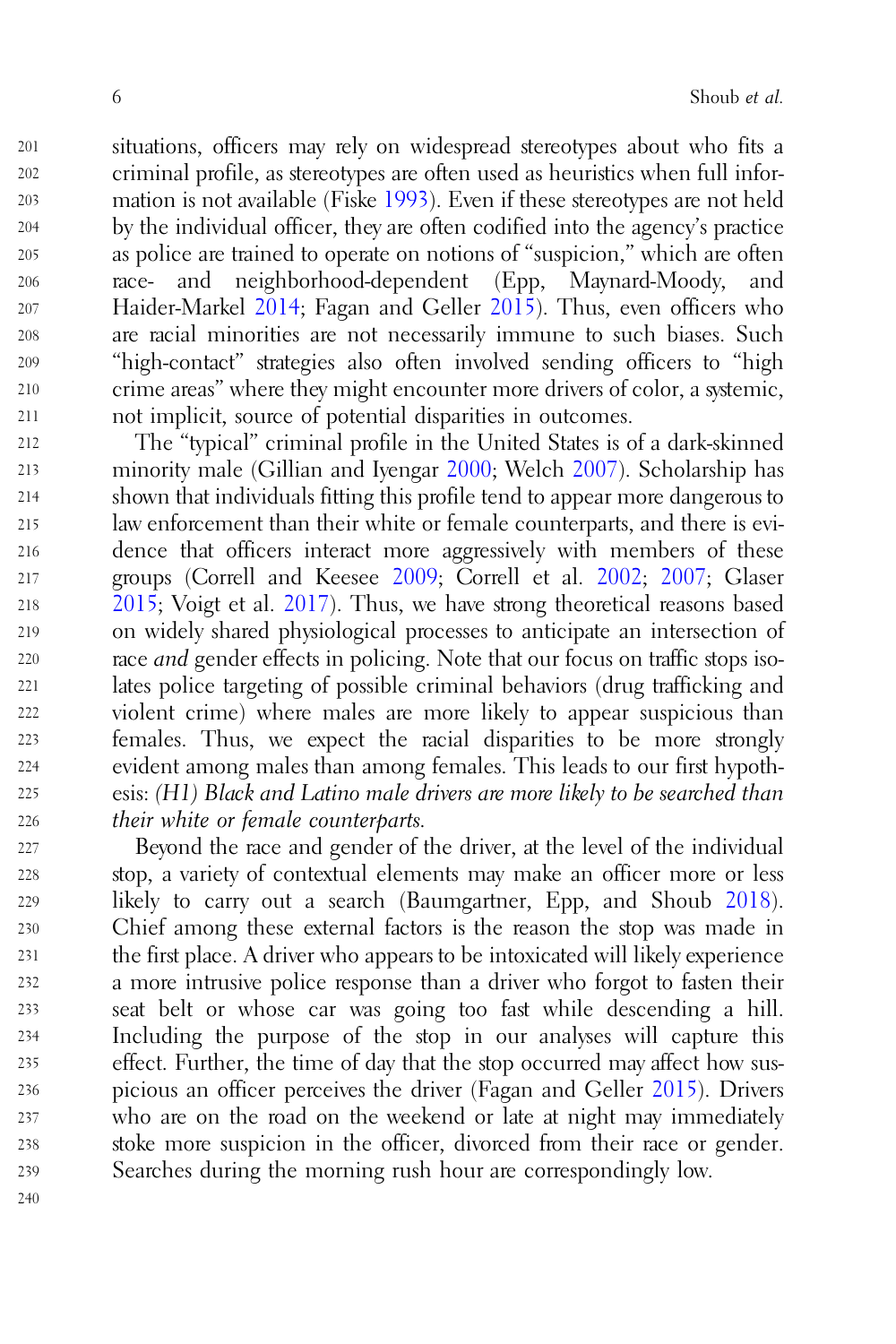situations, officers may rely on widespread stereotypes about who fits a criminal profile, as stereotypes are often used as heuristics when full information is not available (Fiske [1993\)](#page-25-0). Even if these stereotypes are not held by the individual officer, they are often codified into the agency's practice as police are trained to operate on notions of "suspicion," which are often race- and neighborhood-dependent (Epp, Maynard-Moody, and Haider-Markel [2014;](#page-25-0) Fagan and Geller [2015](#page-25-0)). Thus, even officers who are racial minorities are not necessarily immune to such biases. Such "high-contact" strategies also often involved sending officers to "high crime areas" where they might encounter more drivers of color, a systemic, not implicit, source of potential disparities in outcomes. 201 202 203 204 205 206 207 208 209 210 211

The "typical" criminal profile in the United States is of a dark-skinned minority male (Gillian and Iyengar [2000](#page-25-0); Welch [2007\)](#page-27-0). Scholarship has shown that individuals fitting this profile tend to appear more dangerous to law enforcement than their white or female counterparts, and there is evidence that officers interact more aggressively with members of these groups (Correll and Keesee [2009](#page-25-0); Correll et al. [2002;](#page-25-0) [2007](#page-25-0); Glaser [2015](#page-25-0); Voigt et al. [2017\)](#page-27-0). Thus, we have strong theoretical reasons based on widely shared physiological processes to anticipate an intersection of race *and* gender effects in policing. Note that our focus on traffic stops isolates police targeting of possible criminal behaviors (drug trafficking and violent crime) where males are more likely to appear suspicious than females. Thus, we expect the racial disparities to be more strongly evident among males than among females. This leads to our first hypothesis: (H1) Black and Latino male drivers are more likely to be searched than their white or female counterparts. 212 213 214 215 216 217 218 219 220 221 222 223 224 225 226

Beyond the race and gender of the driver, at the level of the individual stop, a variety of contextual elements may make an officer more or less likely to carry out a search (Baumgartner, Epp, and Shoub [2018\)](#page-24-0). Chief among these external factors is the reason the stop was made in the first place. A driver who appears to be intoxicated will likely experience a more intrusive police response than a driver who forgot to fasten their seat belt or whose car was going too fast while descending a hill. Including the purpose of the stop in our analyses will capture this effect. Further, the time of day that the stop occurred may affect how suspicious an officer perceives the driver (Fagan and Geller [2015](#page-25-0)). Drivers who are on the road on the weekend or late at night may immediately stoke more suspicion in the officer, divorced from their race or gender. Searches during the morning rush hour are correspondingly low. 227 228 229 230 231 232 233 234 235 236 237 238 239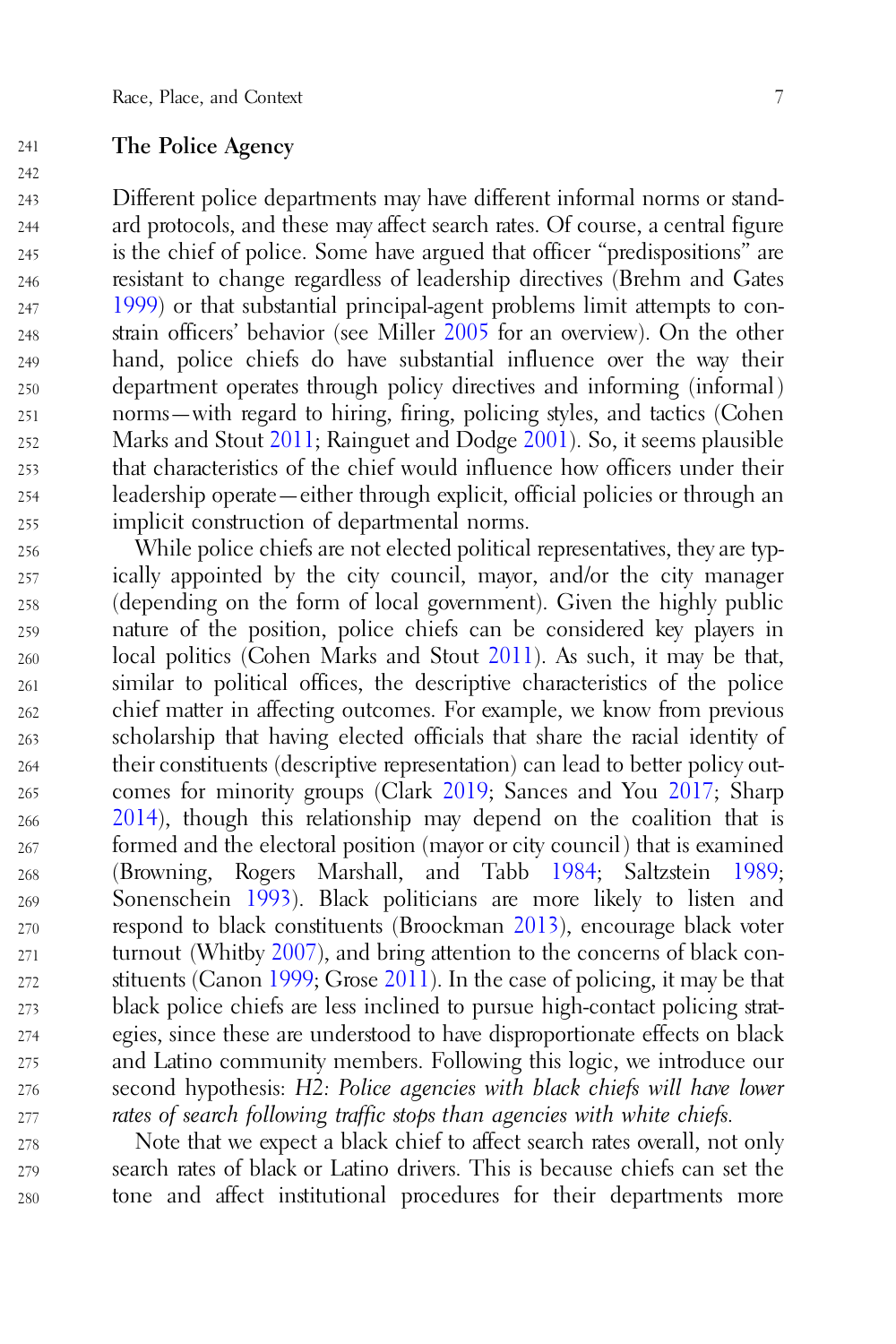Race, Place, and Context 7

#### The Police Agency 241

242

Different police departments may have different informal norms or standard protocols, and these may affect search rates. Of course, a central figure is the chief of police. Some have argued that officer "predispositions" are resistant to change regardless of leadership directives (Brehm and Gates [1999](#page-24-0)) or that substantial principal-agent problems limit attempts to constrain officers' behavior (see Miller [2005](#page-26-0) for an overview). On the other hand, police chiefs do have substantial influence over the way their department operates through policy directives and informing (informal ) norms—with regard to hiring, firing, policing styles, and tactics (Cohen Marks and Stout [2011;](#page-25-0) Rainguet and Dodge [2001](#page-26-0)). So, it seems plausible that characteristics of the chief would influence how officers under their leadership operate—either through explicit, official policies or through an implicit construction of departmental norms. 243 244 245 246 247 248 249 250 251 252 253 254 255

While police chiefs are not elected political representatives, they are typically appointed by the city council, mayor, and/or the city manager (depending on the form of local government). Given the highly public nature of the position, police chiefs can be considered key players in local politics (Cohen Marks and Stout [2011](#page-25-0)). As such, it may be that, similar to political offices, the descriptive characteristics of the police chief matter in affecting outcomes. For example, we know from previous scholarship that having elected officials that share the racial identity of their constituents (descriptive representation) can lead to better policy outcomes for minority groups (Clark [2019](#page-25-0); Sances and You [2017](#page-27-0); Sharp [2014](#page-27-0)), though this relationship may depend on the coalition that is formed and the electoral position (mayor or city council ) that is examined (Browning, Rogers Marshall, and Tabb [1984;](#page-24-0) Saltzstein [1989](#page-26-0); Sonenschein [1993](#page-27-0)). Black politicians are more likely to listen and respond to black constituents (Broockman [2013](#page-24-0)), encourage black voter turnout (Whitby [2007\)](#page-27-0), and bring attention to the concerns of black constituents (Canon [1999](#page-24-0); Grose [2011](#page-26-0)). In the case of policing, it may be that black police chiefs are less inclined to pursue high-contact policing strategies, since these are understood to have disproportionate effects on black and Latino community members. Following this logic, we introduce our second hypothesis: H2: Police agencies with black chiefs will have lower rates of search following traffic stops than agencies with white chiefs. 256 257 258 259 260 261 262 263 264 265 266 267 268 269 270 271 272 273 274 275 276 277

Note that we expect a black chief to affect search rates overall, not only search rates of black or Latino drivers. This is because chiefs can set the tone and affect institutional procedures for their departments more 278 279 280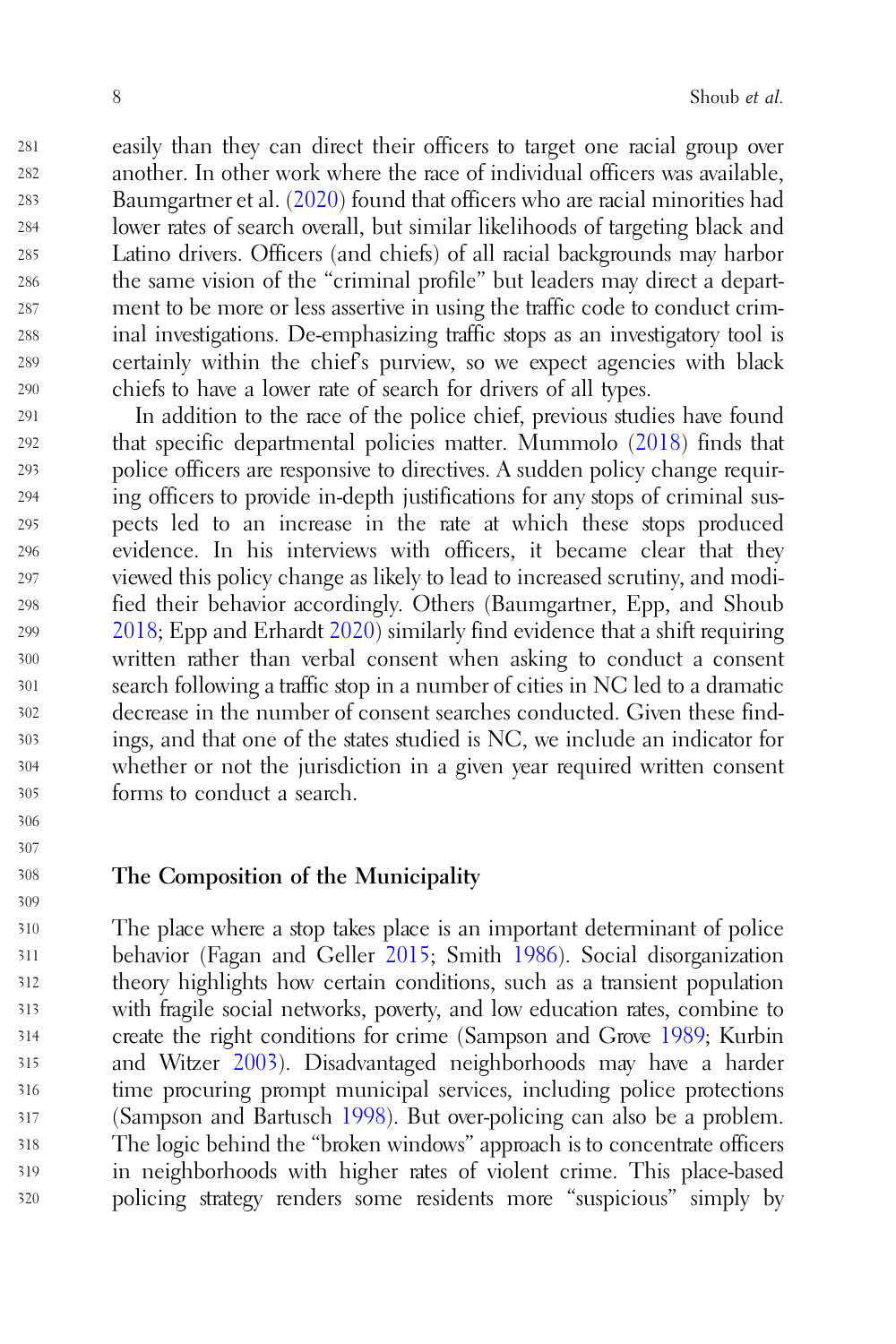easily than they can direct their officers to target one racial group over another. In other work where the race of individual officers was available, Baumgartner et al. [\(2020](#page-24-0)) found that officers who are racial minorities had lower rates of search overall, but similar likelihoods of targeting black and Latino drivers. Officers (and chiefs) of all racial backgrounds may harbor the same vision of the "criminal profile" but leaders may direct a department to be more or less assertive in using the traffic code to conduct criminal investigations. De-emphasizing traffic stops as an investigatory tool is certainly within the chief's purview, so we expect agencies with black chiefs to have a lower rate of search for drivers of all types. 281 282 283 284 285 286 287 288 289 290

In addition to the race of the police chief, previous studies have found that specific departmental policies matter. Mummolo [\(2018](#page-26-0)) finds that police officers are responsive to directives. A sudden policy change requiring officers to provide in-depth justifications for any stops of criminal suspects led to an increase in the rate at which these stops produced evidence. In his interviews with officers, it became clear that they viewed this policy change as likely to lead to increased scrutiny, and modified their behavior accordingly. Others (Baumgartner, Epp, and Shoub [2018](#page-24-0); Epp and Erhardt [2020\)](#page-25-0) similarly find evidence that a shift requiring written rather than verbal consent when asking to conduct a consent search following a traffic stop in a number of cities in NC led to a dramatic decrease in the number of consent searches conducted. Given these findings, and that one of the states studied is NC, we include an indicator for whether or not the jurisdiction in a given year required written consent forms to conduct a search. 291 292 293 294 295 296 297 298 299 300 301 302 303 304 305

# The Composition of the Municipality

The place where a stop takes place is an important determinant of police behavior (Fagan and Geller [2015](#page-25-0); Smith [1986\)](#page-27-0). Social disorganization theory highlights how certain conditions, such as a transient population with fragile social networks, poverty, and low education rates, combine to create the right conditions for crime (Sampson and Grove [1989;](#page-26-0) Kurbin and Witzer [2003\)](#page-26-0). Disadvantaged neighborhoods may have a harder time procuring prompt municipal services, including police protections (Sampson and Bartusch [1998](#page-27-0)). But over-policing can also be a problem. The logic behind the "broken windows" approach is to concentrate officers in neighborhoods with higher rates of violent crime. This place-based policing strategy renders some residents more "suspicious" simply by 310 311 312 313 314 315 316 317 318 319 320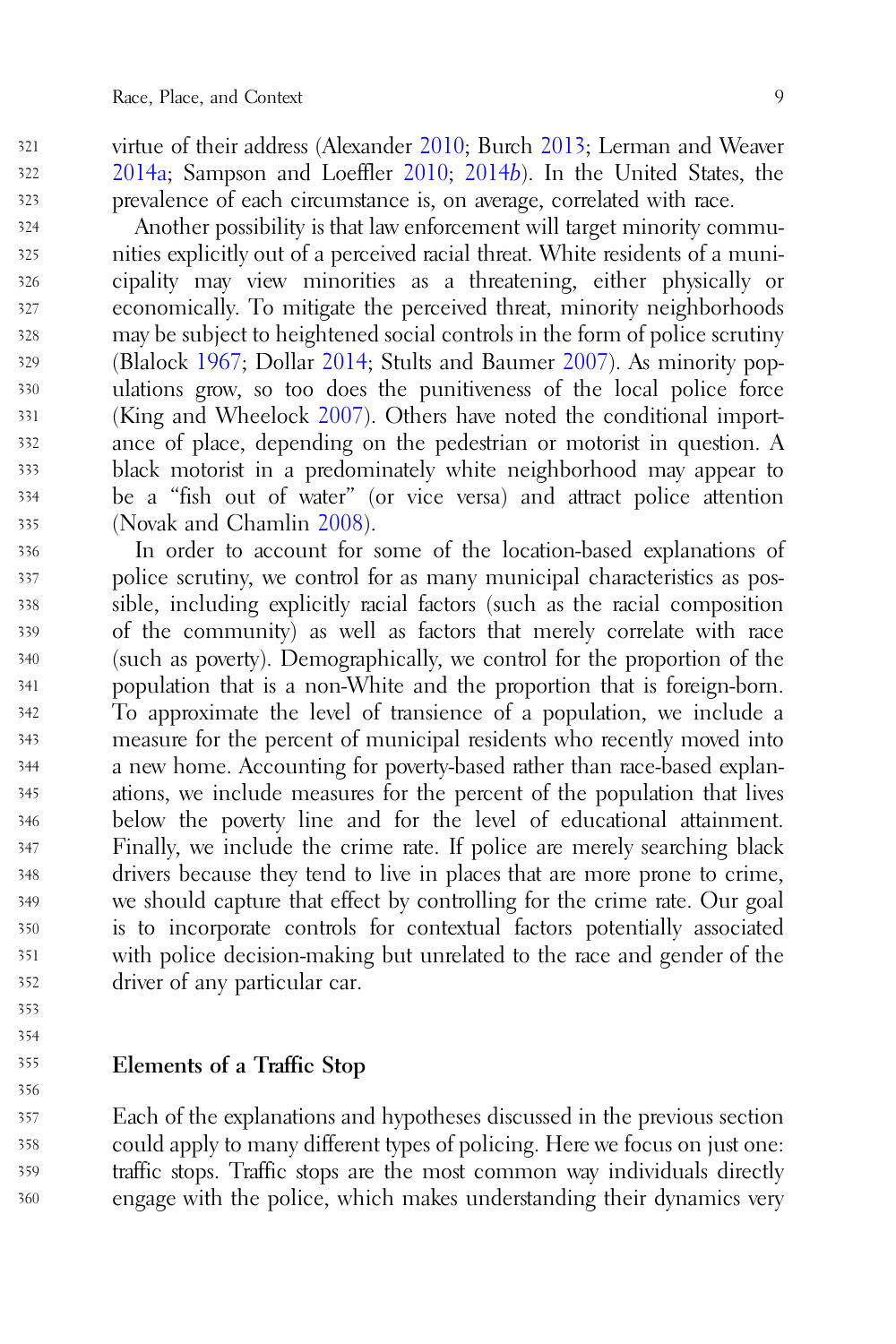virtue of their address (Alexander [2010;](#page-24-0) Burch [2013](#page-24-0); Lerman and Weaver  $2014a$  $2014a$ ; Sampson and Loeffler  $2010$ ;  $2014b$ ). In the United States, the prevalence of each circumstance is, on average, correlated with race. 321 322 323

Another possibility is that law enforcement will target minority communities explicitly out of a perceived racial threat. White residents of a municipality may view minorities as a threatening, either physically or economically. To mitigate the perceived threat, minority neighborhoods may be subject to heightened social controls in the form of police scrutiny (Blalock [1967;](#page-24-0) Dollar [2014](#page-25-0); Stults and Baumer [2007](#page-27-0)). As minority populations grow, so too does the punitiveness of the local police force (King and Wheelock [2007](#page-26-0)). Others have noted the conditional importance of place, depending on the pedestrian or motorist in question. A black motorist in a predominately white neighborhood may appear to be a "fish out of water" (or vice versa) and attract police attention (Novak and Chamlin [2008](#page-26-0)). 324 325 326 327 328 329 330 331 332 333 334 335

In order to account for some of the location-based explanations of police scrutiny, we control for as many municipal characteristics as possible, including explicitly racial factors (such as the racial composition of the community) as well as factors that merely correlate with race (such as poverty). Demographically, we control for the proportion of the population that is a non-White and the proportion that is foreign-born. To approximate the level of transience of a population, we include a measure for the percent of municipal residents who recently moved into a new home. Accounting for poverty-based rather than race-based explanations, we include measures for the percent of the population that lives below the poverty line and for the level of educational attainment. Finally, we include the crime rate. If police are merely searching black drivers because they tend to live in places that are more prone to crime, we should capture that effect by controlling for the crime rate. Our goal is to incorporate controls for contextual factors potentially associated with police decision-making but unrelated to the race and gender of the driver of any particular car. 336 337 338 339 340 341 342 343 344 345 346 347 348 349 350 351 352

353 354

356

#### Elements of a Traffic Stop 355

Each of the explanations and hypotheses discussed in the previous section could apply to many different types of policing. Here we focus on just one: traffic stops. Traffic stops are the most common way individuals directly engage with the police, which makes understanding their dynamics very 357 358 359 360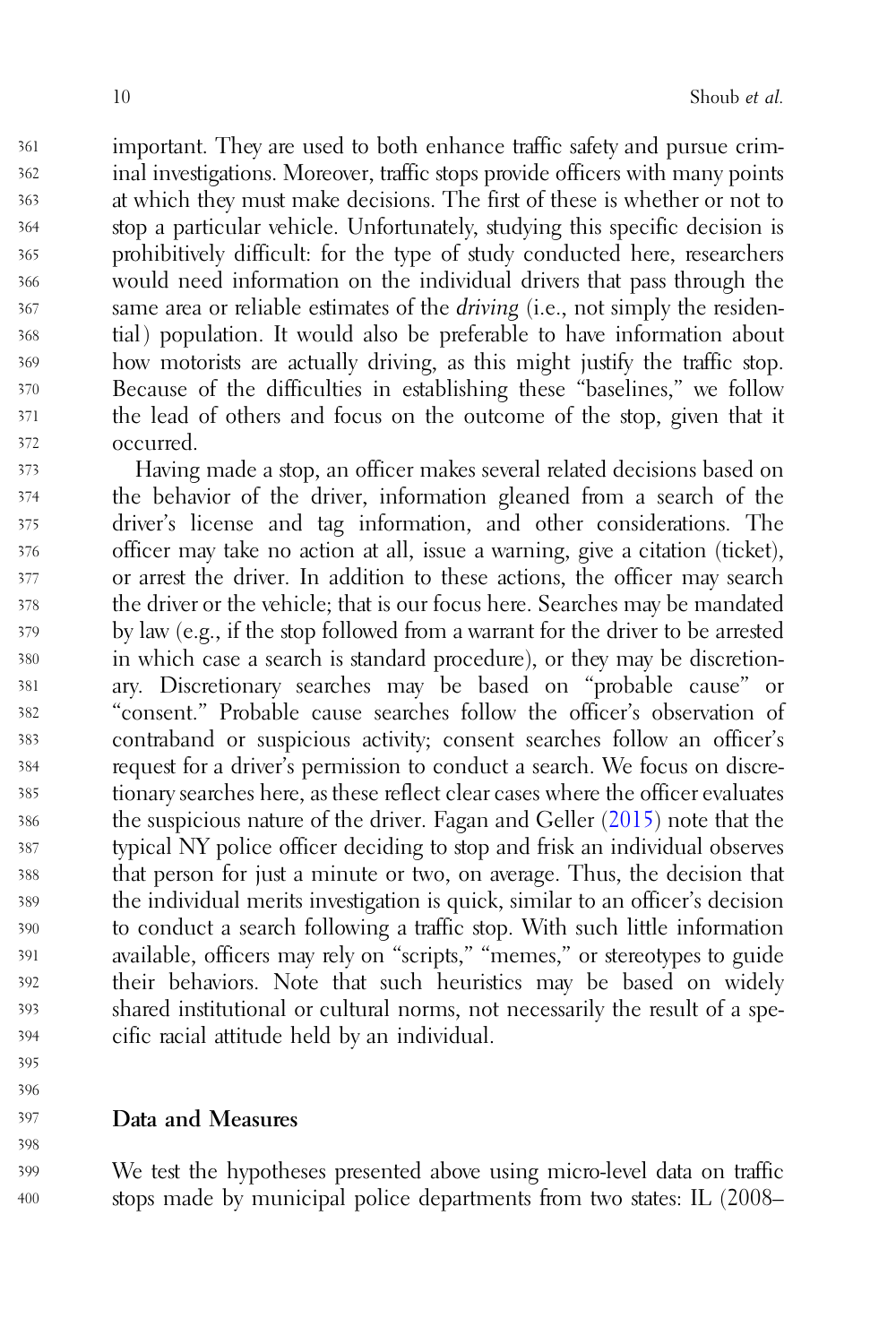important. They are used to both enhance traffic safety and pursue criminal investigations. Moreover, traffic stops provide officers with many points at which they must make decisions. The first of these is whether or not to stop a particular vehicle. Unfortunately, studying this specific decision is prohibitively difficult: for the type of study conducted here, researchers would need information on the individual drivers that pass through the same area or reliable estimates of the *driving* (i.e., not simply the residential ) population. It would also be preferable to have information about how motorists are actually driving, as this might justify the traffic stop. Because of the difficulties in establishing these "baselines," we follow the lead of others and focus on the outcome of the stop, given that it occurred. 361 362 363 364 365 366 367 368 369 370 371 372

Having made a stop, an officer makes several related decisions based on the behavior of the driver, information gleaned from a search of the driver's license and tag information, and other considerations. The officer may take no action at all, issue a warning, give a citation (ticket), or arrest the driver. In addition to these actions, the officer may search the driver or the vehicle; that is our focus here. Searches may be mandated by law (e.g., if the stop followed from a warrant for the driver to be arrested in which case a search is standard procedure), or they may be discretionary. Discretionary searches may be based on "probable cause" or "consent." Probable cause searches follow the officer's observation of contraband or suspicious activity; consent searches follow an officer's request for a driver's permission to conduct a search. We focus on discretionary searches here, as these reflect clear cases where the officer evaluates the suspicious nature of the driver. Fagan and Geller [\(2015](#page-25-0)) note that the typical NY police officer deciding to stop and frisk an individual observes that person for just a minute or two, on average. Thus, the decision that the individual merits investigation is quick, similar to an officer's decision to conduct a search following a traffic stop. With such little information available, officers may rely on "scripts," "memes," or stereotypes to guide their behaviors. Note that such heuristics may be based on widely shared institutional or cultural norms, not necessarily the result of a specific racial attitude held by an individual. 373 374 375 376 377 378 379 380 381 382 383 384 385 386 387 388 389 390 391 392 393 394

395 396

# Data and Measures

We test the hypotheses presented above using micro-level data on traffic stops made by municipal police departments from two states: IL (2008–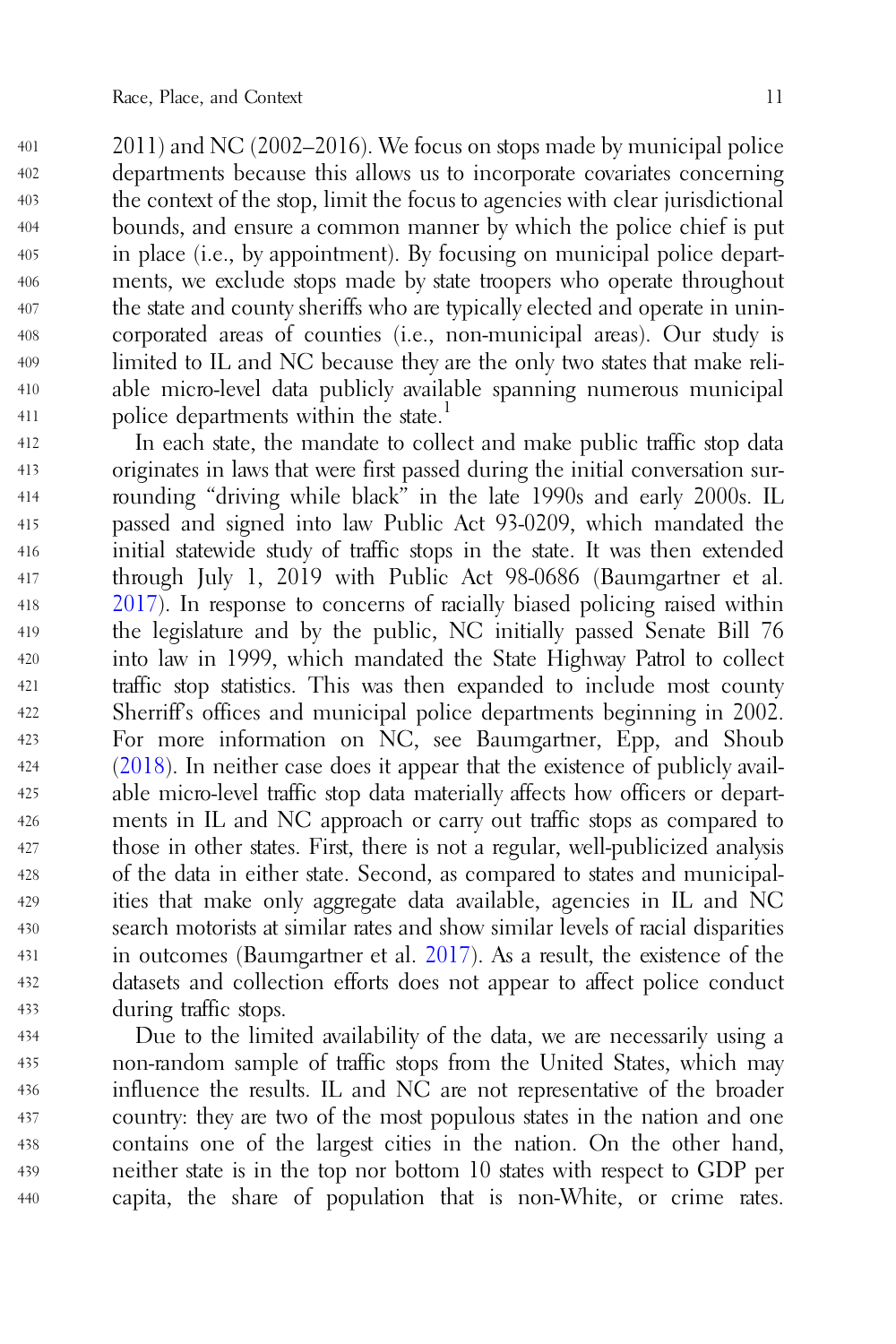2011) and NC (2002–2016). We focus on stops made by municipal police departments because this allows us to incorporate covariates concerning the context of the stop, limit the focus to agencies with clear jurisdictional bounds, and ensure a common manner by which the police chief is put in place (i.e., by appointment). By focusing on municipal police departments, we exclude stops made by state troopers who operate throughout the state and county sheriffs who are typically elected and operate in unincorporated areas of counties (i.e., non-municipal areas). Our study is limited to IL and NC because they are the only two states that make reliable micro-level data publicly available spanning numerous municipal police departments within the state.<sup>1</sup> 401 402 403 404 405 406 407 408 409 410 411

In each state, the mandate to collect and make public traffic stop data originates in laws that were first passed during the initial conversation surrounding "driving while black" in the late 1990s and early 2000s. IL passed and signed into law Public Act 93-0209, which mandated the initial statewide study of traffic stops in the state. It was then extended through July 1, 2019 with Public Act 98-0686 (Baumgartner et al. [2017](#page-24-0)). In response to concerns of racially biased policing raised within the legislature and by the public, NC initially passed Senate Bill 76 into law in 1999, which mandated the State Highway Patrol to collect traffic stop statistics. This was then expanded to include most county Sherriff's offices and municipal police departments beginning in 2002. For more information on NC, see Baumgartner, Epp, and Shoub ([2018\)](#page-24-0). In neither case does it appear that the existence of publicly available micro-level traffic stop data materially affects how officers or departments in IL and NC approach or carry out traffic stops as compared to those in other states. First, there is not a regular, well-publicized analysis of the data in either state. Second, as compared to states and municipalities that make only aggregate data available, agencies in IL and NC search motorists at similar rates and show similar levels of racial disparities in outcomes (Baumgartner et al. [2017\)](#page-24-0). As a result, the existence of the datasets and collection efforts does not appear to affect police conduct during traffic stops. 412 413 414 415 416 417 418 419 420 421 422 423 424 425 426 427 428 429 430 431 432 433

Due to the limited availability of the data, we are necessarily using a non-random sample of traffic stops from the United States, which may influence the results. IL and NC are not representative of the broader country: they are two of the most populous states in the nation and one contains one of the largest cities in the nation. On the other hand, neither state is in the top nor bottom 10 states with respect to GDP per capita, the share of population that is non-White, or crime rates. 434 435 436 437 438 439 440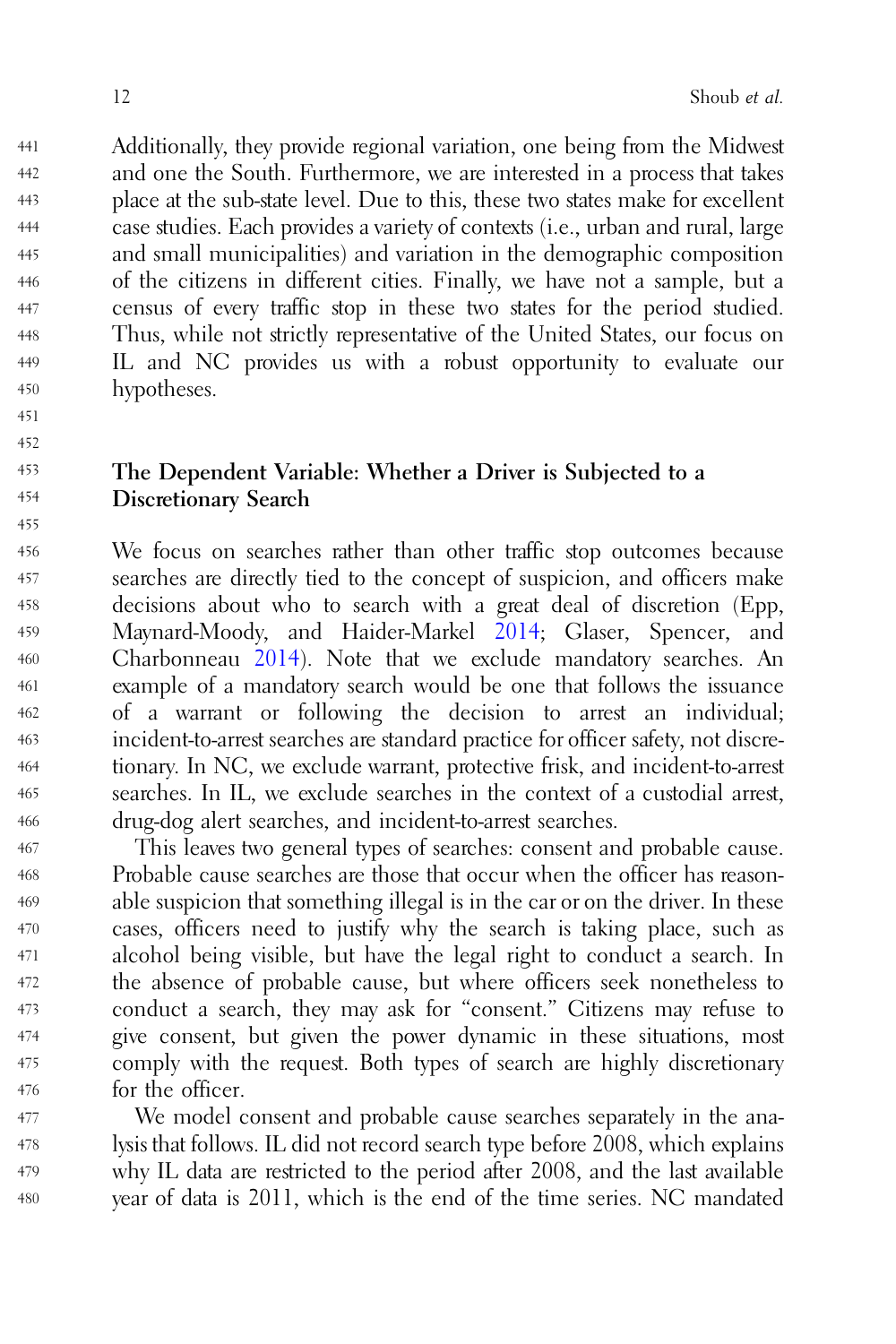Additionally, they provide regional variation, one being from the Midwest and one the South. Furthermore, we are interested in a process that takes place at the sub-state level. Due to this, these two states make for excellent case studies. Each provides a variety of contexts (i.e., urban and rural, large and small municipalities) and variation in the demographic composition of the citizens in different cities. Finally, we have not a sample, but a census of every traffic stop in these two states for the period studied. Thus, while not strictly representative of the United States, our focus on IL and NC provides us with a robust opportunity to evaluate our hypotheses. 441 442 443 444 445 446 447 448 449 450

# The Dependent Variable: Whether a Driver is Subjected to a Discretionary Search

We focus on searches rather than other traffic stop outcomes because searches are directly tied to the concept of suspicion, and officers make decisions about who to search with a great deal of discretion (Epp, Maynard-Moody, and Haider-Markel [2014](#page-25-0); Glaser, Spencer, and Charbonneau [2014](#page-25-0)). Note that we exclude mandatory searches. An example of a mandatory search would be one that follows the issuance of a warrant or following the decision to arrest an individual; incident-to-arrest searches are standard practice for officer safety, not discretionary. In NC, we exclude warrant, protective frisk, and incident-to-arrest searches. In IL, we exclude searches in the context of a custodial arrest, drug-dog alert searches, and incident-to-arrest searches. 456 457 458 459 460 461 462 463 464 465 466

This leaves two general types of searches: consent and probable cause. Probable cause searches are those that occur when the officer has reasonable suspicion that something illegal is in the car or on the driver. In these cases, officers need to justify why the search is taking place, such as alcohol being visible, but have the legal right to conduct a search. In the absence of probable cause, but where officers seek nonetheless to conduct a search, they may ask for "consent." Citizens may refuse to give consent, but given the power dynamic in these situations, most comply with the request. Both types of search are highly discretionary for the officer. 467 468 469 470 471 472 473 474 475 476

We model consent and probable cause searches separately in the analysis that follows. IL did not record search type before 2008, which explains why IL data are restricted to the period after 2008, and the last available year of data is 2011, which is the end of the time series. NC mandated 477 478 479 480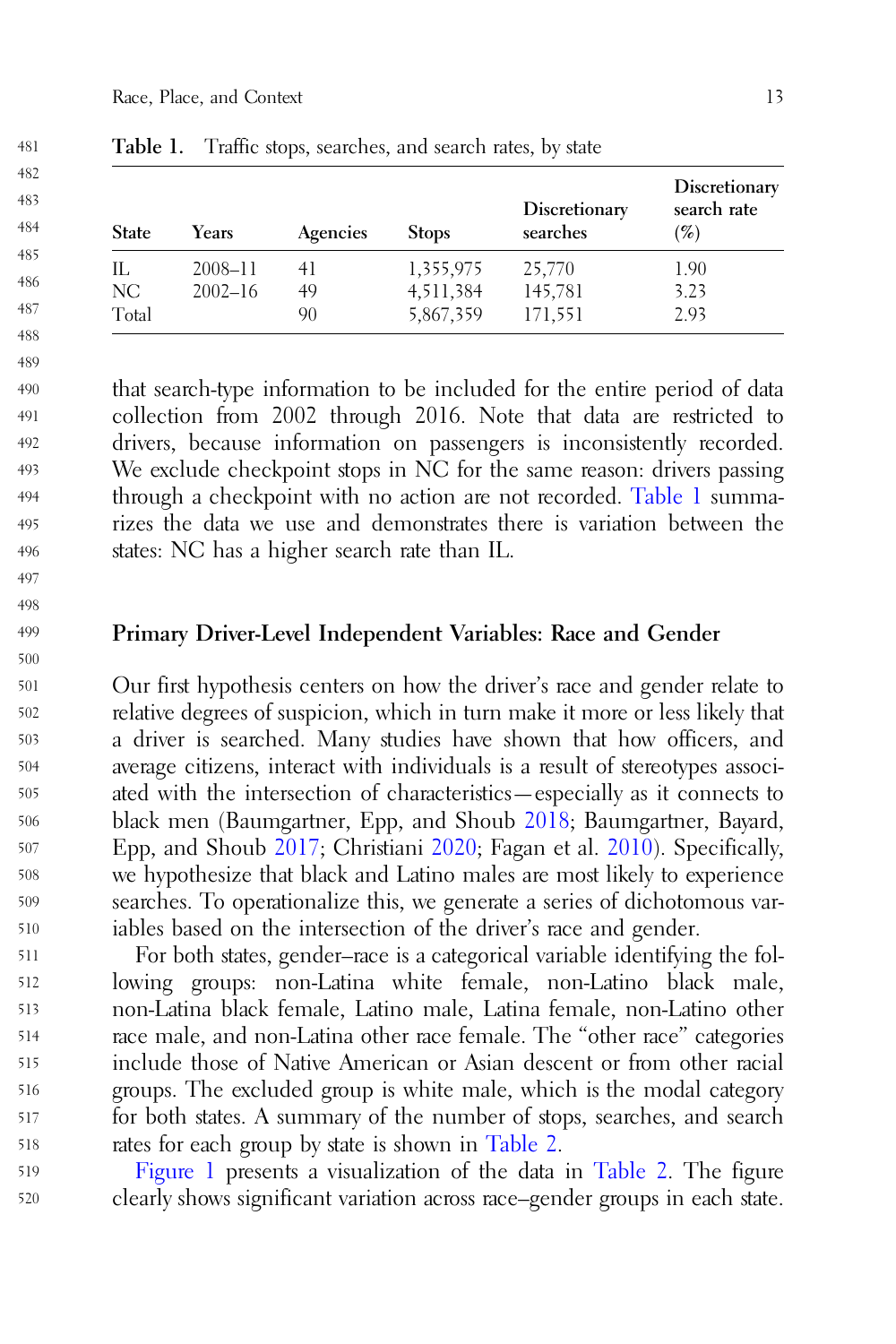| <b>State</b> | Years       | Agencies | <b>Stops</b> | Discretionary<br>searches | Discretionary<br>search rate<br>$(\%)$ |
|--------------|-------------|----------|--------------|---------------------------|----------------------------------------|
| П.           | $2008 - 11$ | 41       | 1,355,975    | 25,770                    | 1.90                                   |
| NC.          | $2002 - 16$ | 49       | 4,511,384    | 145,781                   | 3.23                                   |
| Total        |             | 90       | 5,867,359    | 171,551                   | 2.93                                   |

Table 1. Traffic stops, searches, and search rates, by state

that search-type information to be included for the entire period of data collection from 2002 through 2016. Note that data are restricted to drivers, because information on passengers is inconsistently recorded. We exclude checkpoint stops in NC for the same reason: drivers passing through a checkpoint with no action are not recorded. Table 1 summarizes the data we use and demonstrates there is variation between the states: NC has a higher search rate than IL.

### Primary Driver-Level Independent Variables: Race and Gender

Our first hypothesis centers on how the driver's race and gender relate to relative degrees of suspicion, which in turn make it more or less likely that a driver is searched. Many studies have shown that how officers, and average citizens, interact with individuals is a result of stereotypes associated with the intersection of characteristics—especially as it connects to black men (Baumgartner, Epp, and Shoub [2018;](#page-24-0) Baumgartner, Bayard, Epp, and Shoub [2017](#page-24-0); Christiani [2020;](#page-25-0) Fagan et al. [2010\)](#page-25-0). Specifically, we hypothesize that black and Latino males are most likely to experience searches. To operationalize this, we generate a series of dichotomous variables based on the intersection of the driver's race and gender. 501 502 503 504 505 506 507 508 509 510

For both states, gender–race is a categorical variable identifying the following groups: non-Latina white female, non-Latino black male, non-Latina black female, Latino male, Latina female, non-Latino other race male, and non-Latina other race female. The "other race" categories include those of Native American or Asian descent or from other racial groups. The excluded group is white male, which is the modal category for both states. A summary of the number of stops, searches, and search rates for each group by state is shown in [Table 2.](#page-13-0) 511 512 513 514 515 516 517 518

[Figure 1](#page-13-0) presents a visualization of the data in [Table 2.](#page-13-0) The figure clearly shows significant variation across race–gender groups in each state. 519 520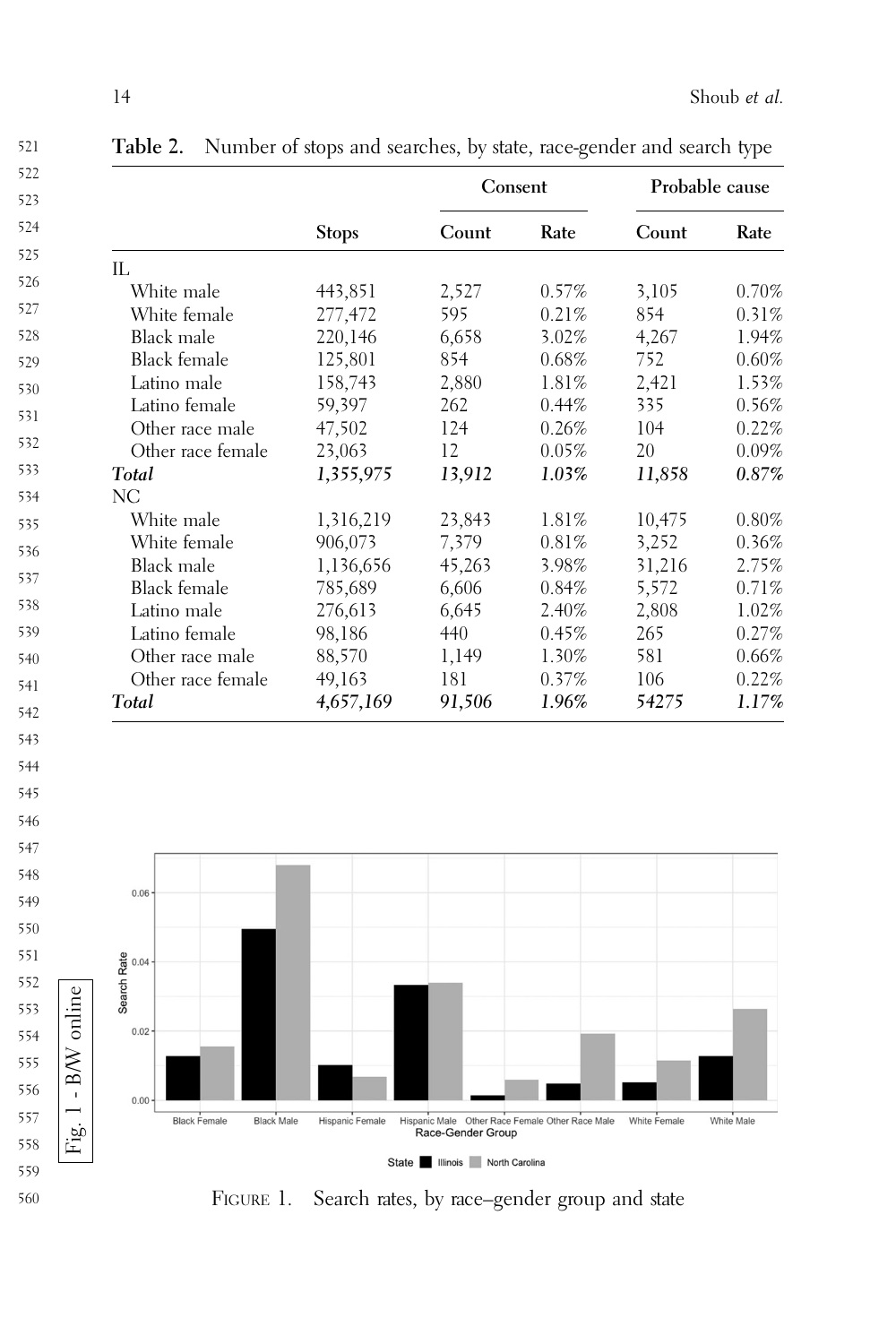<span id="page-13-0"></span>

|                     |              | Consent |       | Probable cause |       |
|---------------------|--------------|---------|-------|----------------|-------|
|                     | <b>Stops</b> | Count   | Rate  | Count          | Rate  |
| IL                  |              |         |       |                |       |
| White male          | 443,851      | 2,527   | 0.57% | 3,105          | 0.70% |
| White female        | 277,472      | 595     | 0.21% | 854            | 0.31% |
| Black male          | 220,146      | 6,658   | 3.02% | 4,267          | 1.94% |
| <b>Black female</b> | 125,801      | 854     | 0.68% | 752            | 0.60% |
| Latino male         | 158,743      | 2,880   | 1.81% | 2,421          | 1.53% |
| Latino female       | 59,397       | 262     | 0.44% | 335            | 0.56% |
| Other race male     | 47,502       | 124     | 0.26% | 104            | 0.22% |
| Other race female   | 23,063       | 12      | 0.05% | 20             | 0.09% |
| Total               | 1,355,975    | 13,912  | 1.03% | 11,858         | 0.87% |
| NC                  |              |         |       |                |       |
| White male          | 1,316,219    | 23,843  | 1.81% | 10,475         | 0.80% |
| White female        | 906,073      | 7,379   | 0.81% | 3,252          | 0.36% |
| Black male          | 1,136,656    | 45,263  | 3.98% | 31,216         | 2.75% |
| <b>Black</b> female | 785,689      | 6,606   | 0.84% | 5,572          | 0.71% |
| Latino male         | 276,613      | 6,645   | 2.40% | 2,808          | 1.02% |
| Latino female       | 98,186       | 440     | 0.45% | 265            | 0.27% |
| Other race male     | 88,570       | 1,149   | 1.30% | 581            | 0.66% |
| Other race female   | 49,163       | 181     | 0.37% | 106            | 0.22% |
| Total               | 4,657,169    | 91,506  | 1.96% | 54275          | 1.17% |

Table 2. Number of stops and searches, by state, race-gender and search type



State Illinois North Carolina

Hispanic Male Other Race Female Other Race Male<br>Race-Gender Group

White Female

White Male

Fig. 1 - B/W online

Fig.  $1$  -  $\mathrm{B/W}$  online

Search Rate<br>
0.04

 $0.02$ 

 $0.00 -$ 

Black Female

Black Male

Hispanic Female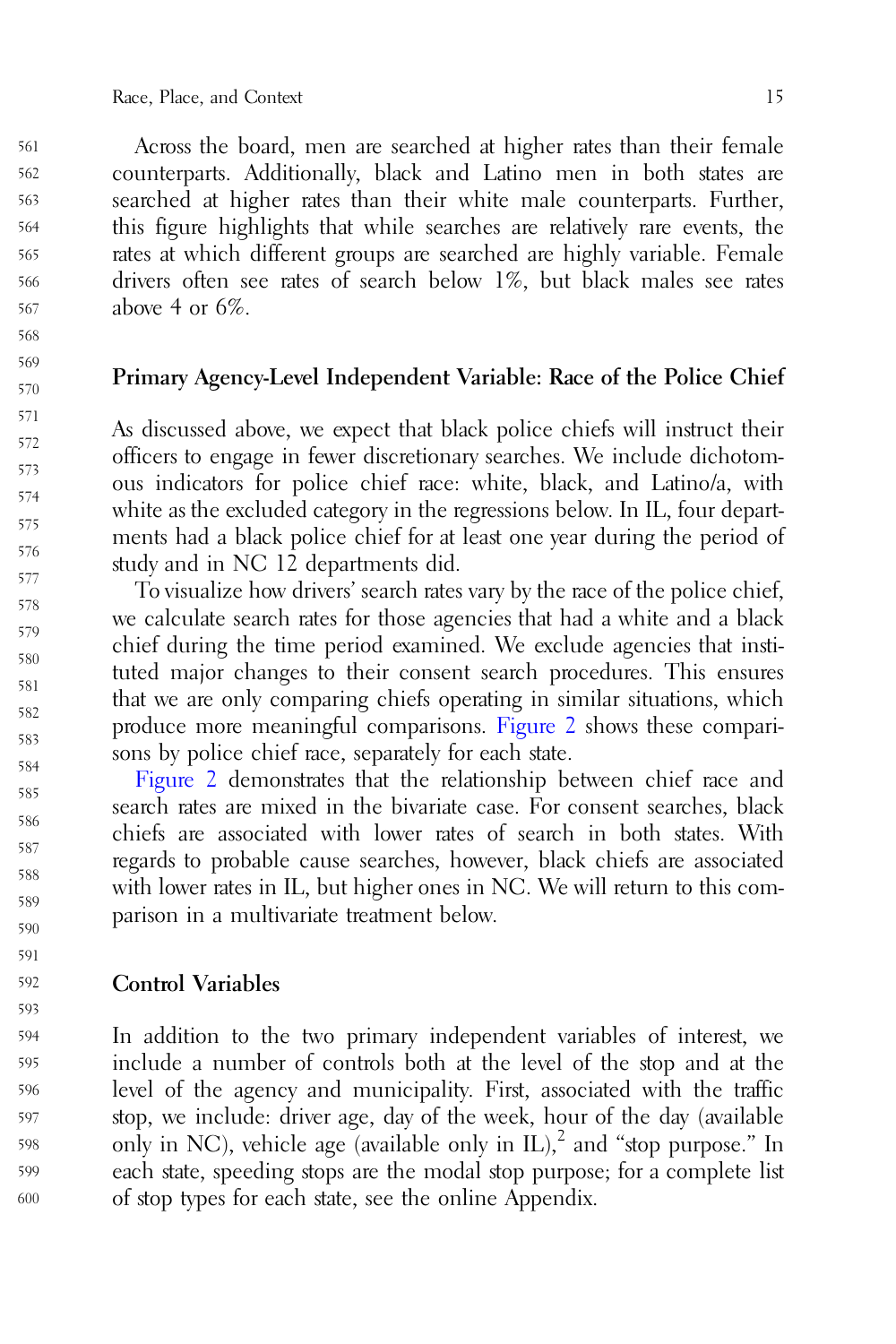Race, Place, and Context 15

Across the board, men are searched at higher rates than their female counterparts. Additionally, black and Latino men in both states are searched at higher rates than their white male counterparts. Further, this figure highlights that while searches are relatively rare events, the rates at which different groups are searched are highly variable. Female drivers often see rates of search below 1%, but black males see rates above 4 or 6%.

# Primary Agency-Level Independent Variable: Race of the Police Chief

As discussed above, we expect that black police chiefs will instruct their officers to engage in fewer discretionary searches. We include dichotomous indicators for police chief race: white, black, and Latino/a, with white as the excluded category in the regressions below. In IL, four departments had a black police chief for at least one year during the period of study and in NC 12 departments did.

To visualize how drivers' search rates vary by the race of the police chief, we calculate search rates for those agencies that had a white and a black chief during the time period examined. We exclude agencies that instituted major changes to their consent search procedures. This ensures that we are only comparing chiefs operating in similar situations, which produce more meaningful comparisons. [Figure 2](#page-15-0) shows these comparisons by police chief race, separately for each state.

[Figure 2](#page-15-0) demonstrates that the relationship between chief race and search rates are mixed in the bivariate case. For consent searches, black chiefs are associated with lower rates of search in both states. With regards to probable cause searches, however, black chiefs are associated with lower rates in IL, but higher ones in NC. We will return to this comparison in a multivariate treatment below.

# Control Variables

In addition to the two primary independent variables of interest, we include a number of controls both at the level of the stop and at the level of the agency and municipality. First, associated with the traffic stop, we include: driver age, day of the week, hour of the day (available only in NC), vehicle age (available only in  $IL$ ),<sup>2</sup> and "stop purpose." In each state, speeding stops are the modal stop purpose; for a complete list of stop types for each state, see the online Appendix. 594 595 596 597 598 599 600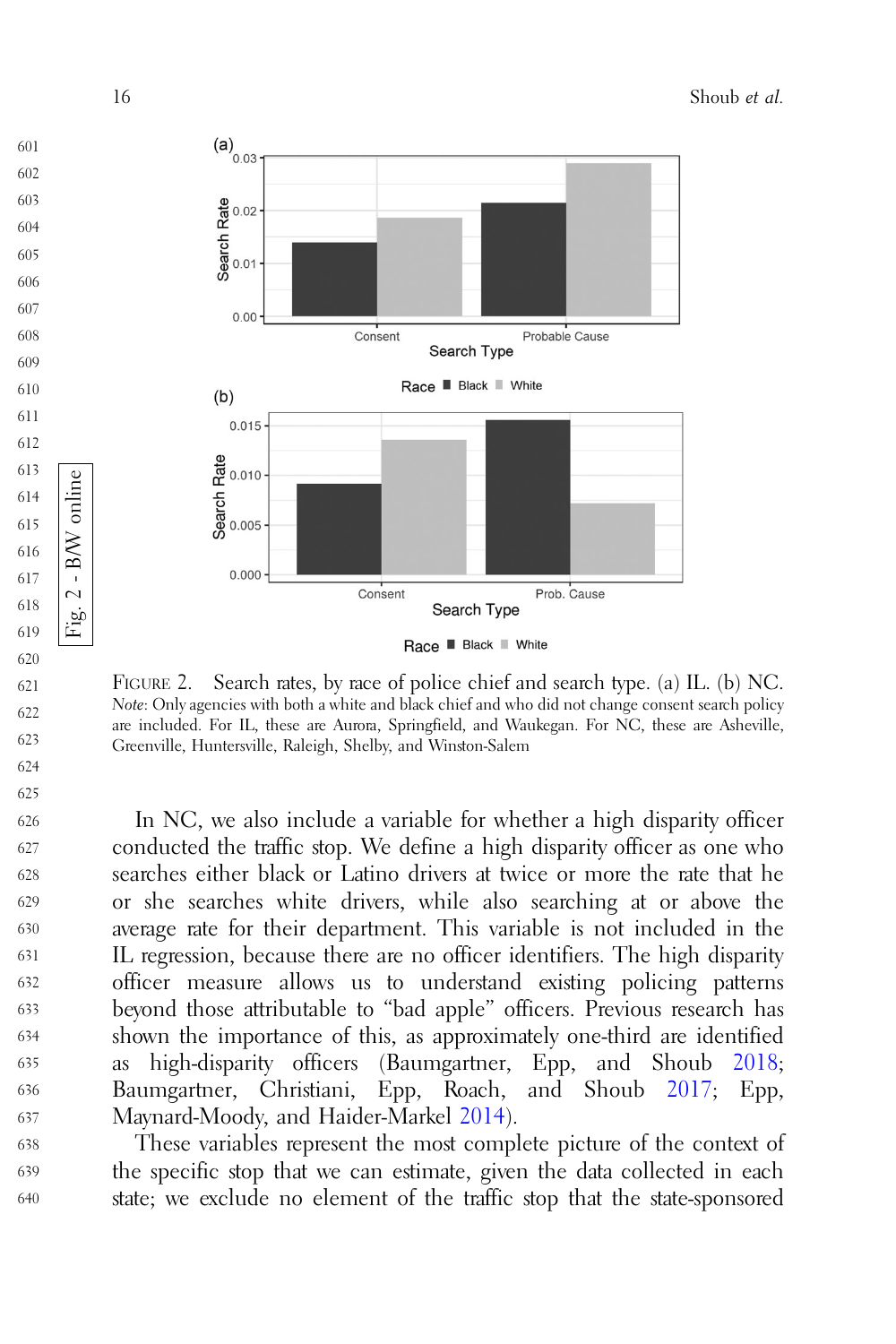

FIGURE 2. Search rates, by race of police chief and search type. (a) IL. (b) NC. Note: Only agencies with both a white and black chief and who did not change consent search policy are included. For IL, these are Aurora, Springfield, and Waukegan. For NC, these are Asheville, Greenville, Huntersville, Raleigh, Shelby, and Winston-Salem

In NC, we also include a variable for whether a high disparity officer conducted the traffic stop. We define a high disparity officer as one who searches either black or Latino drivers at twice or more the rate that he or she searches white drivers, while also searching at or above the average rate for their department. This variable is not included in the IL regression, because there are no officer identifiers. The high disparity officer measure allows us to understand existing policing patterns beyond those attributable to "bad apple" officers. Previous research has shown the importance of this, as approximately one-third are identified as high-disparity officers (Baumgartner, Epp, and Shoub [2018](#page-24-0); Baumgartner, Christiani, Epp, Roach, and Shoub [2017](#page-24-0); Epp, Maynard-Moody, and Haider-Markel [2014](#page-25-0)).

These variables represent the most complete picture of the context of the specific stop that we can estimate, given the data collected in each state; we exclude no element of the traffic stop that the state-sponsored 

<span id="page-15-0"></span>

Fig. 2 - B/W online

 $\overline{\mathcal{C}}$ 

ىغ.<br>ئىتا

- B/W online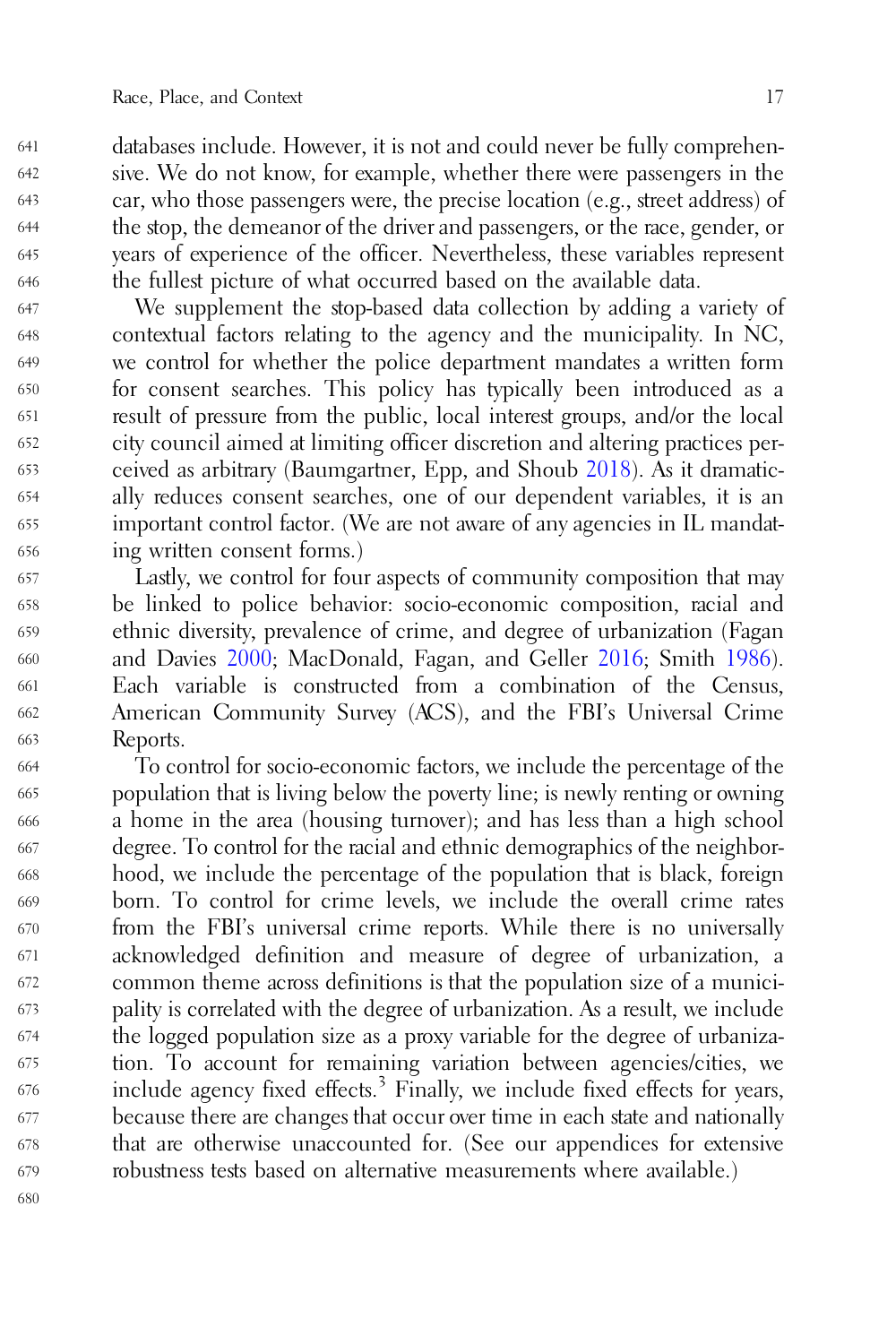databases include. However, it is not and could never be fully comprehensive. We do not know, for example, whether there were passengers in the car, who those passengers were, the precise location (e.g., street address) of the stop, the demeanor of the driver and passengers, or the race, gender, or years of experience of the officer. Nevertheless, these variables represent the fullest picture of what occurred based on the available data. 641 642 643 644 645 646

We supplement the stop-based data collection by adding a variety of contextual factors relating to the agency and the municipality. In NC, we control for whether the police department mandates a written form for consent searches. This policy has typically been introduced as a result of pressure from the public, local interest groups, and/or the local city council aimed at limiting officer discretion and altering practices perceived as arbitrary (Baumgartner, Epp, and Shoub [2018](#page-24-0)). As it dramatically reduces consent searches, one of our dependent variables, it is an important control factor. (We are not aware of any agencies in IL mandating written consent forms.) 647 648 649 650 651 652 653 654 655 656

Lastly, we control for four aspects of community composition that may be linked to police behavior: socio-economic composition, racial and ethnic diversity, prevalence of crime, and degree of urbanization (Fagan and Davies [2000](#page-25-0); MacDonald, Fagan, and Geller [2016](#page-26-0); Smith [1986\)](#page-27-0). Each variable is constructed from a combination of the Census, American Community Survey (ACS), and the FBI's Universal Crime Reports. 657 658 659 660 661 662 663

To control for socio-economic factors, we include the percentage of the population that is living below the poverty line; is newly renting or owning a home in the area (housing turnover); and has less than a high school degree. To control for the racial and ethnic demographics of the neighborhood, we include the percentage of the population that is black, foreign born. To control for crime levels, we include the overall crime rates from the FBI's universal crime reports. While there is no universally acknowledged definition and measure of degree of urbanization, a common theme across definitions is that the population size of a municipality is correlated with the degree of urbanization. As a result, we include the logged population size as a proxy variable for the degree of urbanization. To account for remaining variation between agencies/cities, we include agency fixed effects.<sup>3</sup> Finally, we include fixed effects for years, because there are changes that occur over time in each state and nationally that are otherwise unaccounted for. (See our appendices for extensive robustness tests based on alternative measurements where available.) 664 665 666 667 668 669 670 671 672 673 674 675 676 677 678 679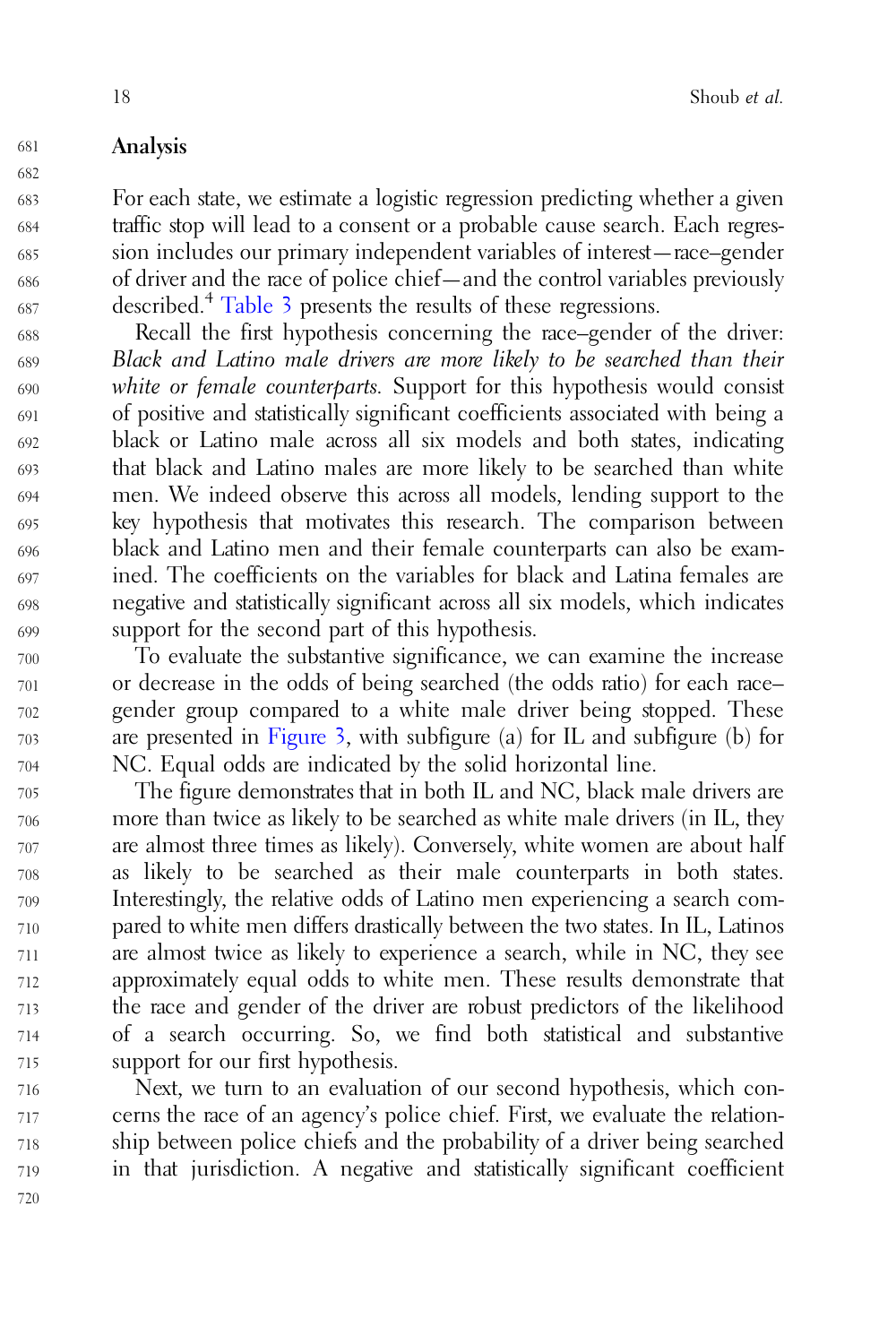#### Analysis 681

For each state, we estimate a logistic regression predicting whether a given traffic stop will lead to a consent or a probable cause search. Each regression includes our primary independent variables of interest—race–gender of driver and the race of police chief—and the control variables previously described.<sup>4</sup> [Table 3](#page-18-0) presents the results of these regressions.

Recall the first hypothesis concerning the race–gender of the driver: Black and Latino male drivers are more likely to be searched than their white or female counterparts. Support for this hypothesis would consist of positive and statistically significant coefficients associated with being a black or Latino male across all six models and both states, indicating that black and Latino males are more likely to be searched than white men. We indeed observe this across all models, lending support to the key hypothesis that motivates this research. The comparison between black and Latino men and their female counterparts can also be examined. The coefficients on the variables for black and Latina females are negative and statistically significant across all six models, which indicates support for the second part of this hypothesis. 688 689 690 691 692 693 694 695 696 697 698 699

To evaluate the substantive significance, we can examine the increase or decrease in the odds of being searched (the odds ratio) for each race– gender group compared to a white male driver being stopped. These are presented in [Figure 3,](#page-19-0) with subfigure (a) for IL and subfigure (b) for NC. Equal odds are indicated by the solid horizontal line. 700 701 702 703 704

The figure demonstrates that in both IL and NC, black male drivers are more than twice as likely to be searched as white male drivers (in IL, they are almost three times as likely). Conversely, white women are about half as likely to be searched as their male counterparts in both states. Interestingly, the relative odds of Latino men experiencing a search compared to white men differs drastically between the two states. In IL, Latinos are almost twice as likely to experience a search, while in NC, they see approximately equal odds to white men. These results demonstrate that the race and gender of the driver are robust predictors of the likelihood of a search occurring. So, we find both statistical and substantive support for our first hypothesis. 705 706 707 708 709 710 711 712 713 714 715

Next, we turn to an evaluation of our second hypothesis, which concerns the race of an agency's police chief. First, we evaluate the relationship between police chiefs and the probability of a driver being searched in that jurisdiction. A negative and statistically significant coefficient 716 717 718 719

682 683 684

685 686 687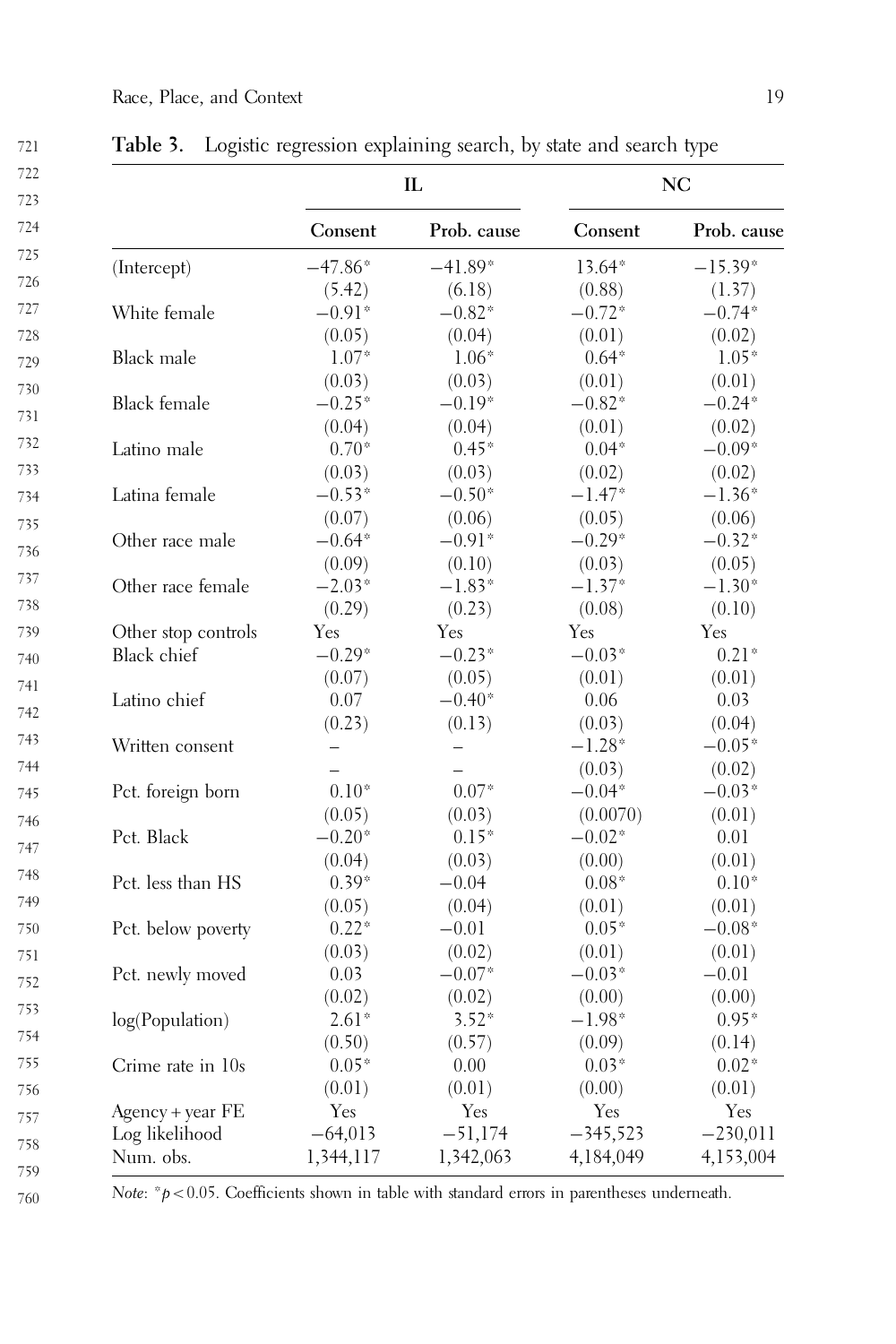760

<span id="page-18-0"></span>

|                     | IL        |             | <b>NC</b>  |             |  |
|---------------------|-----------|-------------|------------|-------------|--|
|                     | Consent   | Prob. cause | Consent    | Prob. cause |  |
| (Intercept)         | $-47.86*$ | $-41.89*$   | $13.64*$   | $-15.39*$   |  |
|                     | (5.42)    | (6.18)      | (0.88)     | (1.37)      |  |
| White female        | $-0.91*$  | $-0.82*$    | $-0.72*$   | $-0.74*$    |  |
|                     | (0.05)    | (0.04)      | (0.01)     | (0.02)      |  |
| <b>Black</b> male   | $1.07*$   | $1.06*$     | $0.64*$    | $1.05*$     |  |
|                     | (0.03)    | (0.03)      | (0.01)     | (0.01)      |  |
| <b>Black</b> female | $-0.25*$  | $-0.19*$    | $-0.82*$   | $-0.24*$    |  |
|                     | (0.04)    | (0.04)      | (0.01)     | (0.02)      |  |
| Latino male         | $0.70*$   | $0.45*$     | $0.04*$    | $-0.09*$    |  |
|                     | (0.03)    | (0.03)      | (0.02)     | (0.02)      |  |
| Latina female       | $-0.53*$  | $-0.50*$    | $-1.47*$   | $-1.36*$    |  |
|                     | (0.07)    | (0.06)      | (0.05)     | (0.06)      |  |
| Other race male     | $-0.64*$  | $-0.91*$    | $-0.29*$   | $-0.32*$    |  |
|                     | (0.09)    | (0.10)      | (0.03)     | (0.05)      |  |
| Other race female   | $-2.03*$  | $-1.83*$    | $-1.37*$   | $-1.30*$    |  |
|                     | (0.29)    | (0.23)      | (0.08)     | (0.10)      |  |
| Other stop controls | Yes       | Yes         | Yes        | Yes         |  |
| <b>Black</b> chief  | $-0.29*$  | $-0.23*$    | $-0.03*$   | $0.21*$     |  |
|                     | (0.07)    | (0.05)      | (0.01)     | (0.01)      |  |
| Latino chief        | 0.07      | $-0.40*$    | 0.06       | 0.03        |  |
|                     | (0.23)    | (0.13)      | (0.03)     | (0.04)      |  |
| Written consent     |           |             | $-1.28*$   | $-0.05*$    |  |
|                     |           |             | (0.03)     | (0.02)      |  |
| Pct. foreign born   | $0.10*$   | $0.07*$     | $-0.04*$   | $-0.03*$    |  |
|                     | (0.05)    | (0.03)      | (0.0070)   | (0.01)      |  |
| Pct. Black          | $-0.20*$  | $0.15*$     | $-0.02*$   | 0.01        |  |
|                     | (0.04)    | (0.03)      | (0.00)     | (0.01)      |  |
| Pct. less than HS   | $0.39*$   | $-0.04$     | $0.08*$    | $0.10*$     |  |
|                     | (0.05)    | (0.04)      | (0.01)     | (0.01)      |  |
| Pct. below poverty  | $0.22*$   | $-0.01$     | $0.05*$    | $-0.08*$    |  |
|                     | (0.03)    | (0.02)      | (0.01)     | (0.01)      |  |
| Pct. newly moved    | 0.03      | $-0.07*$    | $-0.03*$   | $-0.01$     |  |
|                     | (0.02)    | (0.02)      | (0.00)     | (0.00)      |  |
| log(Population)     | $2.61*$   | $3.52*$     | $-1.98*$   | $0.95*$     |  |
|                     | (0.50)    | (0.57)      | (0.09)     | (0.14)      |  |
| Crime rate in 10s   | $0.05*$   | 0.00        | $0.03*$    | $0.02*$     |  |
|                     | (0.01)    | (0.01)      | (0.00)     | (0.01)      |  |
| Agency + year FE    | Yes       | Yes         | Yes        | Yes         |  |
| Log likelihood      | $-64,013$ | $-51,174$   | $-345,523$ | $-230,011$  |  |
| Num. obs.           | 1,344,117 | 1,342,063   | 4,184,049  | 4,153,004   |  |

Table 3. Logistic regression explaining search, by state and search type

Note:  $*\rho$  < 0.05. Coefficients shown in table with standard errors in parentheses underneath.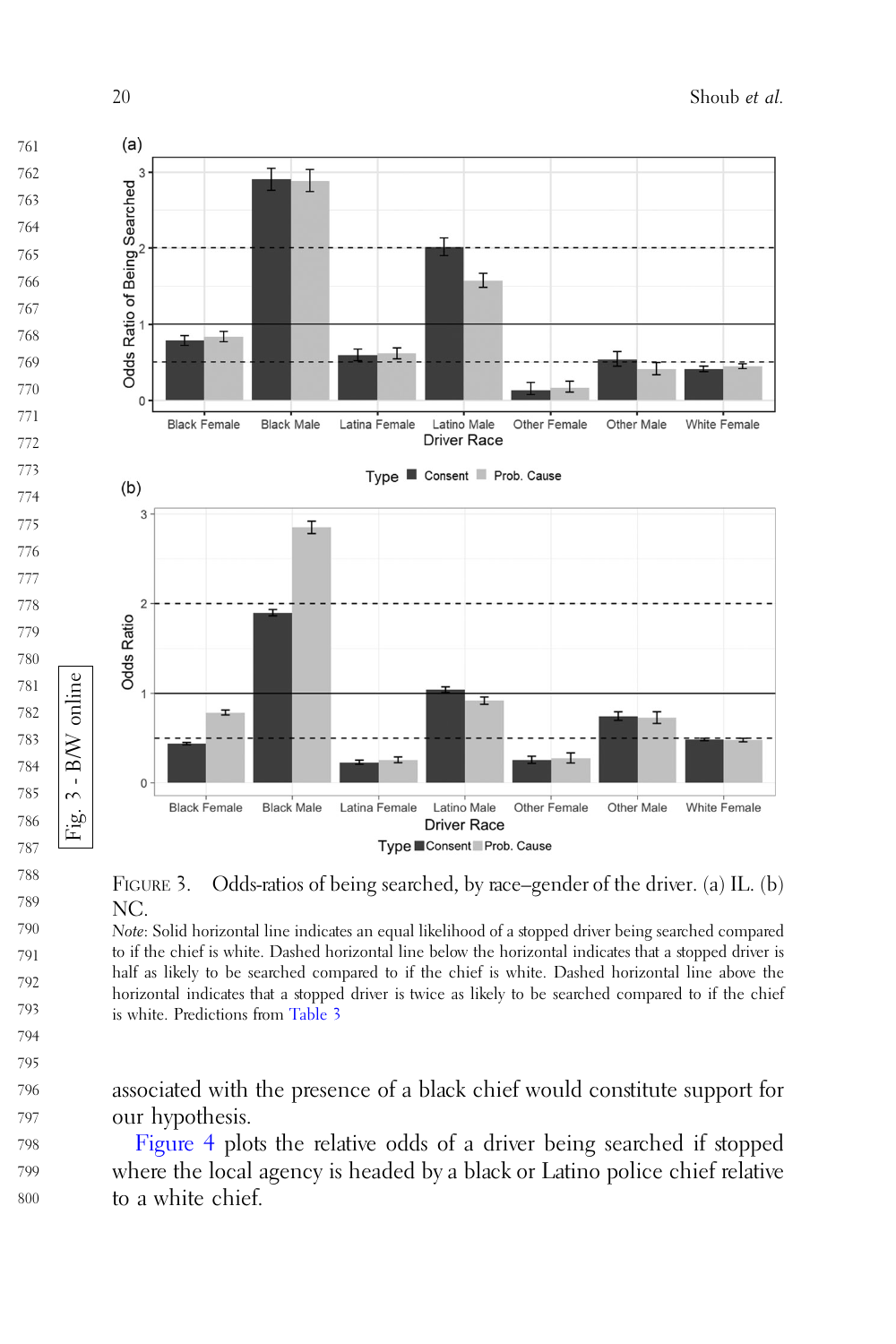

<span id="page-19-0"></span>



FIGURE 3. Odds-ratios of being searched, by race–gender of the driver. (a) IL. (b) NC.

Note: Solid horizontal line indicates an equal likelihood of a stopped driver being searched compared to if the chief is white. Dashed horizontal line below the horizontal indicates that a stopped driver is half as likely to be searched compared to if the chief is white. Dashed horizontal line above the horizontal indicates that a stopped driver is twice as likely to be searched compared to if the chief is white. Predictions from [Table 3](#page-18-0)

associated with the presence of a black chief would constitute support for our hypothesis.

[Figure 4](#page-20-0) plots the relative odds of a driver being searched if stopped where the local agency is headed by a black or Latino police chief relative to a white chief.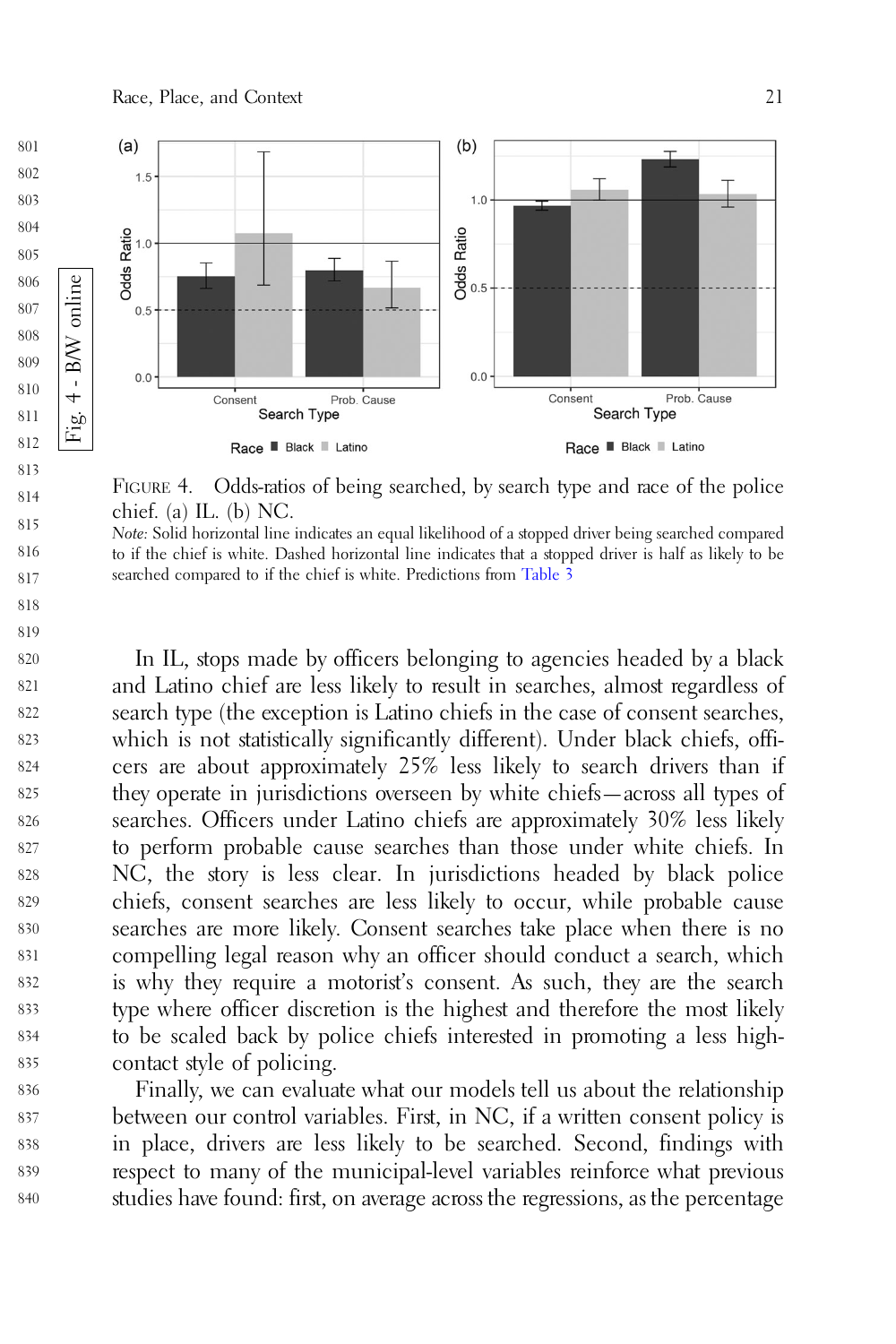<span id="page-20-0"></span>

FIGURE 4. Odds-ratios of being searched, by search type and race of the police chief. (a) IL. (b) NC.

Note: Solid horizontal line indicates an equal likelihood of a stopped driver being searched compared to if the chief is white. Dashed horizontal line indicates that a stopped driver is half as likely to be searched compared to if the chief is white. Predictions from [Table 3](#page-18-0)

In IL, stops made by officers belonging to agencies headed by a black and Latino chief are less likely to result in searches, almost regardless of search type (the exception is Latino chiefs in the case of consent searches, which is not statistically significantly different). Under black chiefs, officers are about approximately 25% less likely to search drivers than if they operate in jurisdictions overseen by white chiefs—across all types of searches. Officers under Latino chiefs are approximately 30% less likely to perform probable cause searches than those under white chiefs. In NC, the story is less clear. In jurisdictions headed by black police chiefs, consent searches are less likely to occur, while probable cause searches are more likely. Consent searches take place when there is no compelling legal reason why an officer should conduct a search, which is why they require a motorist's consent. As such, they are the search type where officer discretion is the highest and therefore the most likely to be scaled back by police chiefs interested in promoting a less highcontact style of policing.

Finally, we can evaluate what our models tell us about the relationship between our control variables. First, in NC, if a written consent policy is in place, drivers are less likely to be searched. Second, findings with respect to many of the municipal-level variables reinforce what previous studies have found: first, on average across the regressions, as the percentage 836 837 838 839 840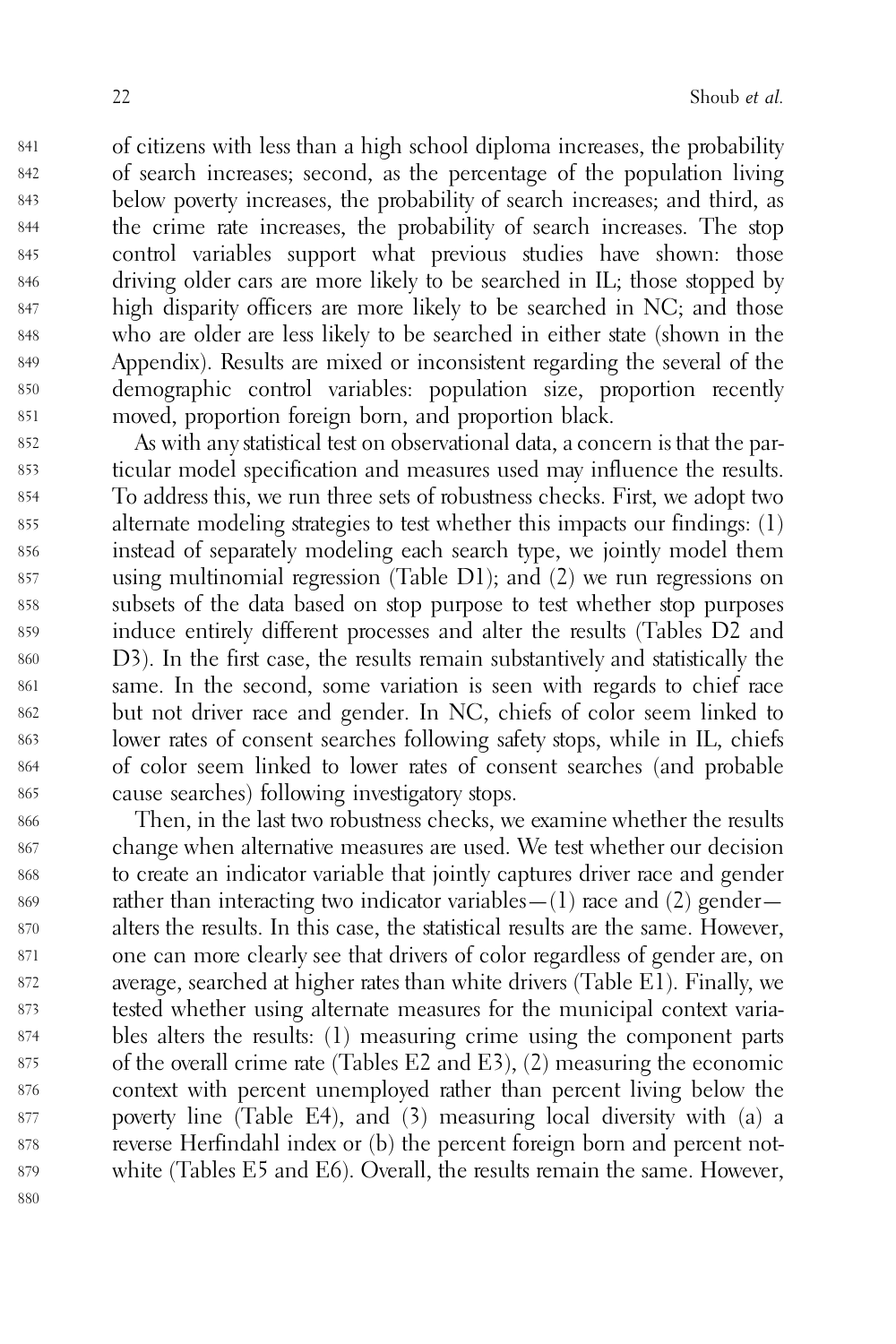of citizens with less than a high school diploma increases, the probability of search increases; second, as the percentage of the population living below poverty increases, the probability of search increases; and third, as the crime rate increases, the probability of search increases. The stop control variables support what previous studies have shown: those driving older cars are more likely to be searched in IL; those stopped by high disparity officers are more likely to be searched in NC; and those who are older are less likely to be searched in either state (shown in the Appendix). Results are mixed or inconsistent regarding the several of the demographic control variables: population size, proportion recently moved, proportion foreign born, and proportion black. 841 842 843 844 845 846 847 848 849 850 851

As with any statistical test on observational data, a concern is that the particular model specification and measures used may influence the results. To address this, we run three sets of robustness checks. First, we adopt two alternate modeling strategies to test whether this impacts our findings: (1) instead of separately modeling each search type, we jointly model them using multinomial regression (Table D1); and (2) we run regressions on subsets of the data based on stop purpose to test whether stop purposes induce entirely different processes and alter the results (Tables D2 and D3). In the first case, the results remain substantively and statistically the same. In the second, some variation is seen with regards to chief race but not driver race and gender. In NC, chiefs of color seem linked to lower rates of consent searches following safety stops, while in IL, chiefs of color seem linked to lower rates of consent searches (and probable cause searches) following investigatory stops. 852 853 854 855 856 857 858 859 860 861 862 863 864 865

Then, in the last two robustness checks, we examine whether the results change when alternative measures are used. We test whether our decision to create an indicator variable that jointly captures driver race and gender rather than interacting two indicator variables— $(1)$  race and  $(2)$  gender alters the results. In this case, the statistical results are the same. However, one can more clearly see that drivers of color regardless of gender are, on average, searched at higher rates than white drivers (Table E1). Finally, we tested whether using alternate measures for the municipal context variables alters the results: (1) measuring crime using the component parts of the overall crime rate (Tables E2 and E3), (2) measuring the economic context with percent unemployed rather than percent living below the poverty line (Table E4), and (3) measuring local diversity with (a) a reverse Herfindahl index or (b) the percent foreign born and percent notwhite (Tables E5 and E6). Overall, the results remain the same. However, 866 867 868 869 870 871 872 873 874 875 876 877 878 879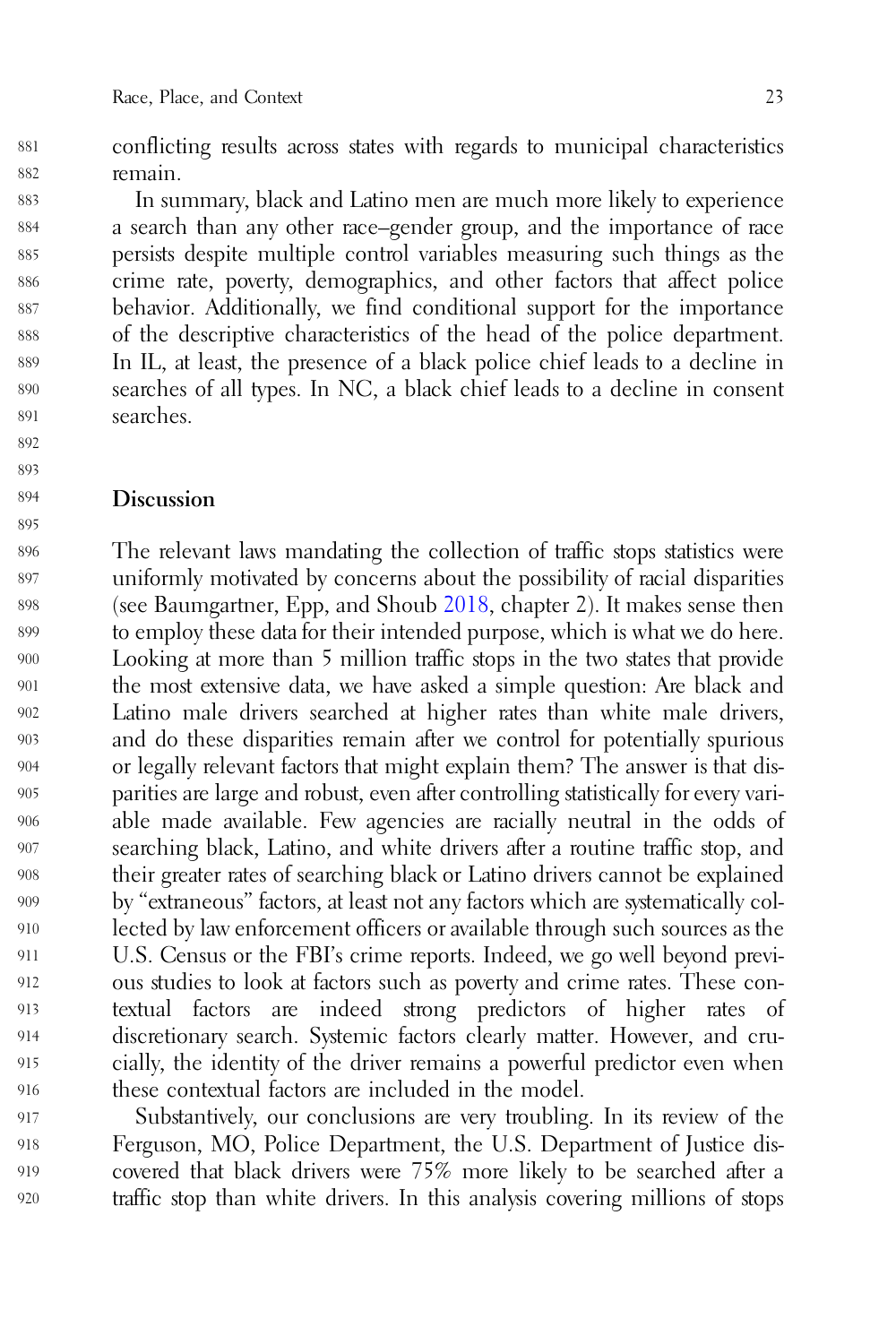conflicting results across states with regards to municipal characteristics remain. 881 882

In summary, black and Latino men are much more likely to experience a search than any other race–gender group, and the importance of race persists despite multiple control variables measuring such things as the crime rate, poverty, demographics, and other factors that affect police behavior. Additionally, we find conditional support for the importance of the descriptive characteristics of the head of the police department. In IL, at least, the presence of a black police chief leads to a decline in searches of all types. In NC, a black chief leads to a decline in consent searches.

### Discussion

The relevant laws mandating the collection of traffic stops statistics were uniformly motivated by concerns about the possibility of racial disparities (see Baumgartner, Epp, and Shoub [2018,](#page-24-0) chapter 2). It makes sense then to employ these data for their intended purpose, which is what we do here. Looking at more than 5 million traffic stops in the two states that provide the most extensive data, we have asked a simple question: Are black and Latino male drivers searched at higher rates than white male drivers, and do these disparities remain after we control for potentially spurious or legally relevant factors that might explain them? The answer is that disparities are large and robust, even after controlling statistically for every variable made available. Few agencies are racially neutral in the odds of searching black, Latino, and white drivers after a routine traffic stop, and their greater rates of searching black or Latino drivers cannot be explained by "extraneous" factors, at least not any factors which are systematically collected by law enforcement officers or available through such sources as the U.S. Census or the FBI's crime reports. Indeed, we go well beyond previous studies to look at factors such as poverty and crime rates. These contextual factors are indeed strong predictors of higher rates of discretionary search. Systemic factors clearly matter. However, and crucially, the identity of the driver remains a powerful predictor even when these contextual factors are included in the model. 896 897 898 899 900 901 902 903 904 905 906 907 908 909 910 911 912 913 914 915 916

Substantively, our conclusions are very troubling. In its review of the Ferguson, MO, Police Department, the U.S. Department of Justice discovered that black drivers were 75% more likely to be searched after a traffic stop than white drivers. In this analysis covering millions of stops 917 918 919 920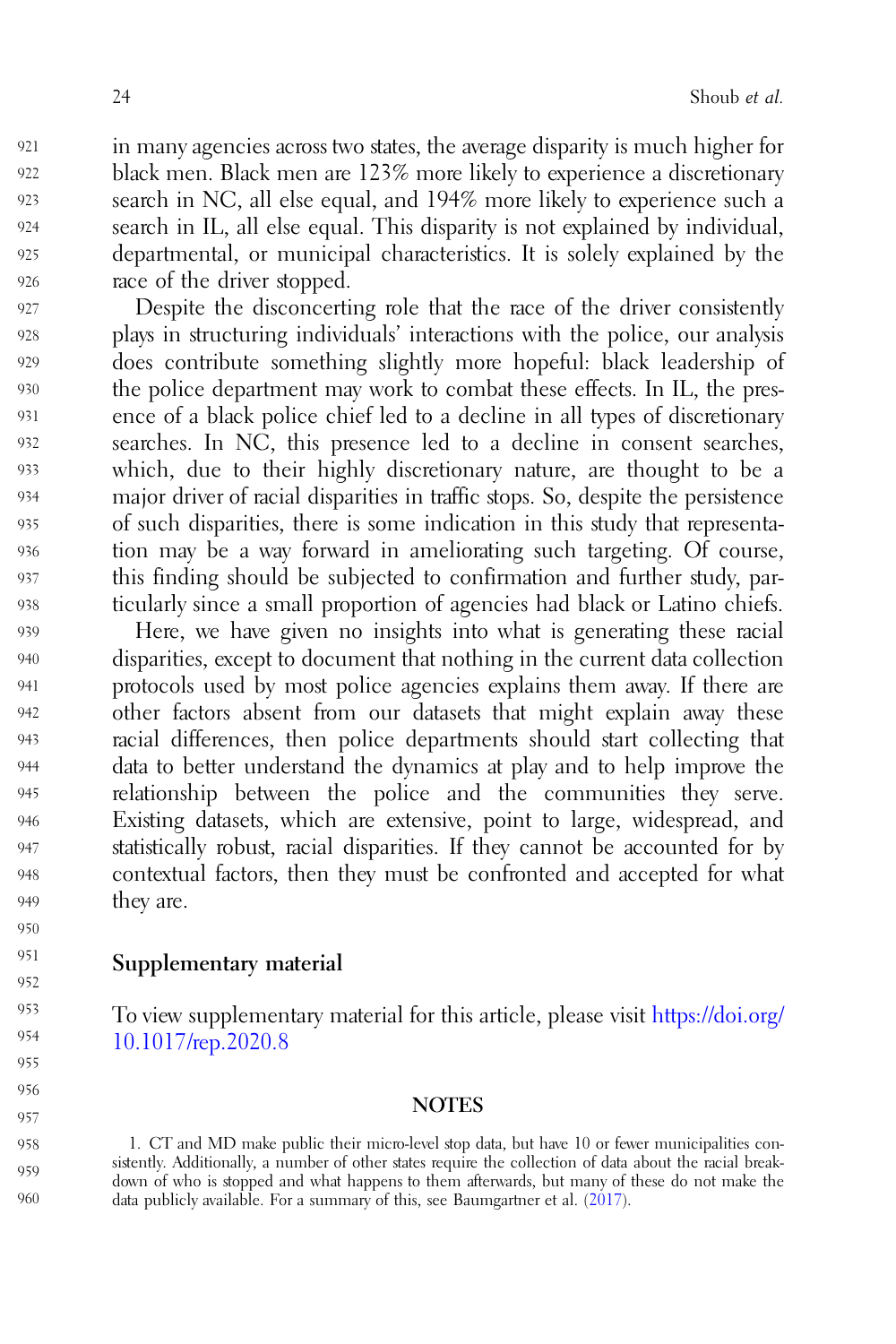in many agencies across two states, the average disparity is much higher for black men. Black men are 123% more likely to experience a discretionary search in NC, all else equal, and 194% more likely to experience such a search in IL, all else equal. This disparity is not explained by individual, departmental, or municipal characteristics. It is solely explained by the race of the driver stopped. 921 922 923 924 925 926

Despite the disconcerting role that the race of the driver consistently plays in structuring individuals' interactions with the police, our analysis does contribute something slightly more hopeful: black leadership of the police department may work to combat these effects. In IL, the presence of a black police chief led to a decline in all types of discretionary searches. In NC, this presence led to a decline in consent searches, which, due to their highly discretionary nature, are thought to be a major driver of racial disparities in traffic stops. So, despite the persistence of such disparities, there is some indication in this study that representation may be a way forward in ameliorating such targeting. Of course, this finding should be subjected to confirmation and further study, particularly since a small proportion of agencies had black or Latino chiefs. 927 928 929 930 931 932 933 934 935 936 937 938

Here, we have given no insights into what is generating these racial disparities, except to document that nothing in the current data collection protocols used by most police agencies explains them away. If there are other factors absent from our datasets that might explain away these racial differences, then police departments should start collecting that data to better understand the dynamics at play and to help improve the relationship between the police and the communities they serve. Existing datasets, which are extensive, point to large, widespread, and statistically robust, racial disparities. If they cannot be accounted for by contextual factors, then they must be confronted and accepted for what they are. 939 940 941 942 943 944 945 946 947 948 949

# Supplementary material

To view supplementary material for this article, please visit [https://doi.org/](https://doi.org/10.1017/rep.2020.8) [10.1017/rep.2020.8](https://doi.org/10.1017/rep.2020.8)

### **NOTES**

1. CT and MD make public their micro-level stop data, but have 10 or fewer municipalities consistently. Additionally, a number of other states require the collection of data about the racial breakdown of who is stopped and what happens to them afterwards, but many of these do not make the data publicly available. For a summary of this, see Baumgartner et al. ([2017\)](#page-24-0).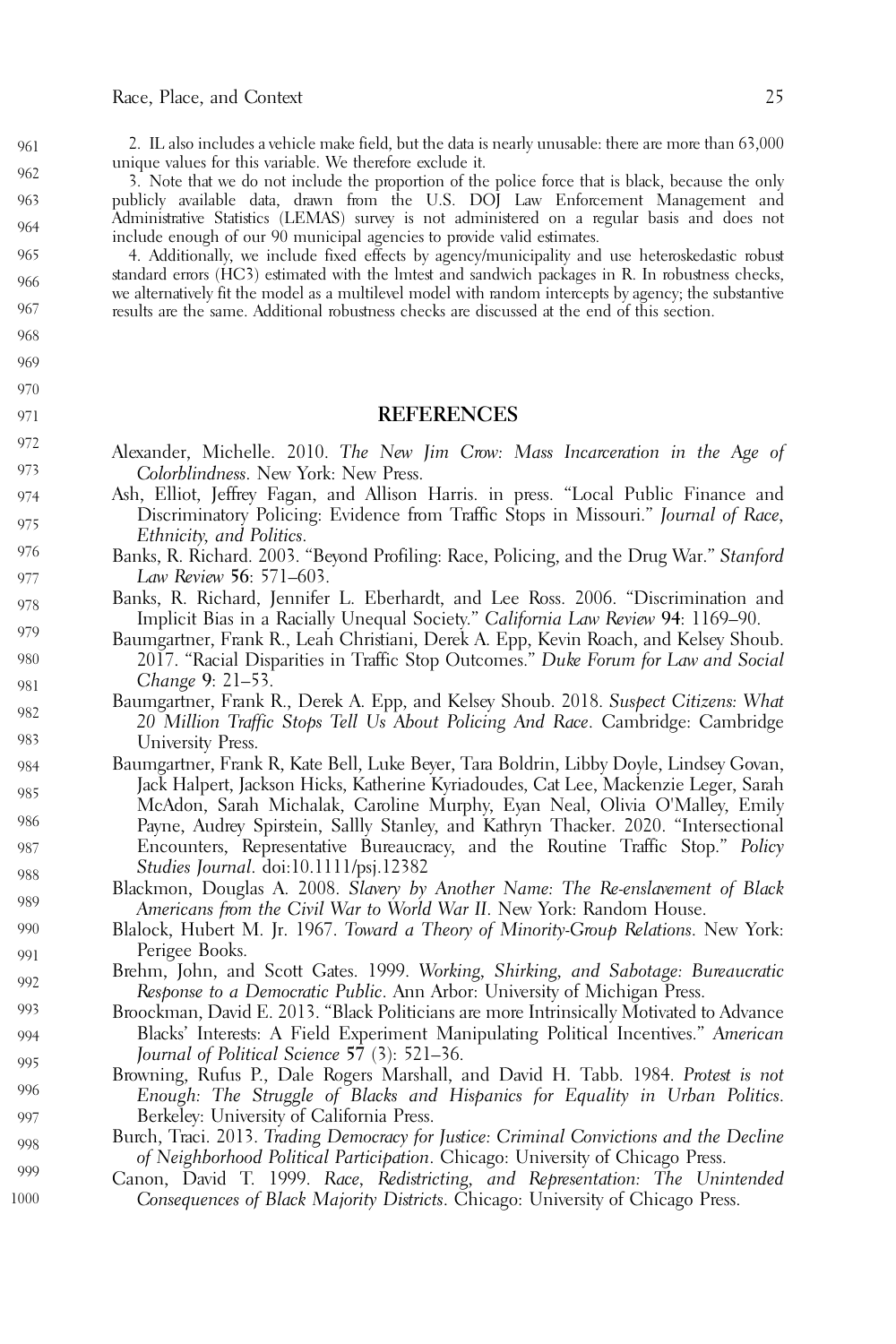2. IL also includes a vehicle make field, but the data is nearly unusable: there are more than 63,000 unique values for this variable. We therefore exclude it.

3. Note that we do not include the proportion of the police force that is black, because the only publicly available data, drawn from the U.S. DOJ Law Enforcement Management and Administrative Statistics (LEMAS) survey is not administered on a regular basis and does not include enough of our 90 municipal agencies to provide valid estimates.

4. Additionally, we include fixed effects by agency/municipality and use heteroskedastic robust standard errors (HC3) estimated with the lmtest and sandwich packages in R. In robustness checks, we alternatively fit the model as a multilevel model with random intercepts by agency; the substantive results are the same. Additional robustness checks are discussed at the end of this section.

#### REFERENCES

- Alexander, Michelle. 2010. The New Jim Crow: Mass Incarceration in the Age of Colorblindness. New York: New Press.
- Ash, Elliot, Jeffrey Fagan, and Allison Harris. in press. "Local Public Finance and Discriminatory Policing: Evidence from Traffic Stops in Missouri." Journal of Race, Ethnicity, and Politics. 974 975
- Banks, R. Richard. 2003. "Beyond Profiling: Race, Policing, and the Drug War." Stanford Law Review 56: 571–603. 976 977
	- Banks, R. Richard, Jennifer L. Eberhardt, and Lee Ross. 2006. "Discrimination and Implicit Bias in a Racially Unequal Society." California Law Review 94: 1169–90.
- Baumgartner, Frank R., Leah Christiani, Derek A. Epp, Kevin Roach, and Kelsey Shoub. 2017. "Racial Disparities in Traffic Stop Outcomes." Duke Forum for Law and Social Change 9: 21–53. 979 980 981
- Baumgartner, Frank R., Derek A. Epp, and Kelsey Shoub. 2018. Suspect Citizens: What 20 Million Traffic Stops Tell Us About Policing And Race. Cambridge: Cambridge University Press. 982 983
- Baumgartner, Frank R, Kate Bell, Luke Beyer, Tara Boldrin, Libby Doyle, Lindsey Govan, Jack Halpert, Jackson Hicks, Katherine Kyriadoudes, Cat Lee, Mackenzie Leger, Sarah McAdon, Sarah Michalak, Caroline Murphy, Eyan Neal, Olivia O'Malley, Emily Payne, Audrey Spirstein, Sallly Stanley, and Kathryn Thacker. 2020. "Intersectional Encounters, Representative Bureaucracy, and the Routine Traffic Stop." Policy Studies Journal. doi:10.1111/psj.12382 984 985 986 987 988
- Blackmon, Douglas A. 2008. Slavery by Another Name: The Re-enslavement of Black Americans from the Civil War to World War II. New York: Random House. 989
- Blalock, Hubert M. Jr. 1967. Toward a Theory of Minority-Group Relations. New York: Perigee Books. 990 991
- Brehm, John, and Scott Gates. 1999. Working, Shirking, and Sabotage: Bureaucratic Response to a Democratic Public. Ann Arbor: University of Michigan Press. 992
- Broockman, David E. 2013. "Black Politicians are more Intrinsically Motivated to Advance Blacks' Interests: A Field Experiment Manipulating Political Incentives." American Journal of Political Science 57 (3): 521–36. 993 994 995
- Browning, Rufus P., Dale Rogers Marshall, and David H. Tabb. 1984. Protest is not Enough: The Struggle of Blacks and Hispanics for Equality in Urban Politics. Berkeley: University of California Press. 996 997
- Burch, Traci. 2013. Trading Democracy for Justice: Criminal Convictions and the Decline of Neighborhood Political Participation. Chicago: University of Chicago Press. 998 999
- Canon, David T. 1999. Race, Redistricting, and Representation: The Unintended Consequences of Black Majority Districts. Chicago: University of Chicago Press. 1000

<span id="page-24-0"></span>961 962 963

964 965

966 967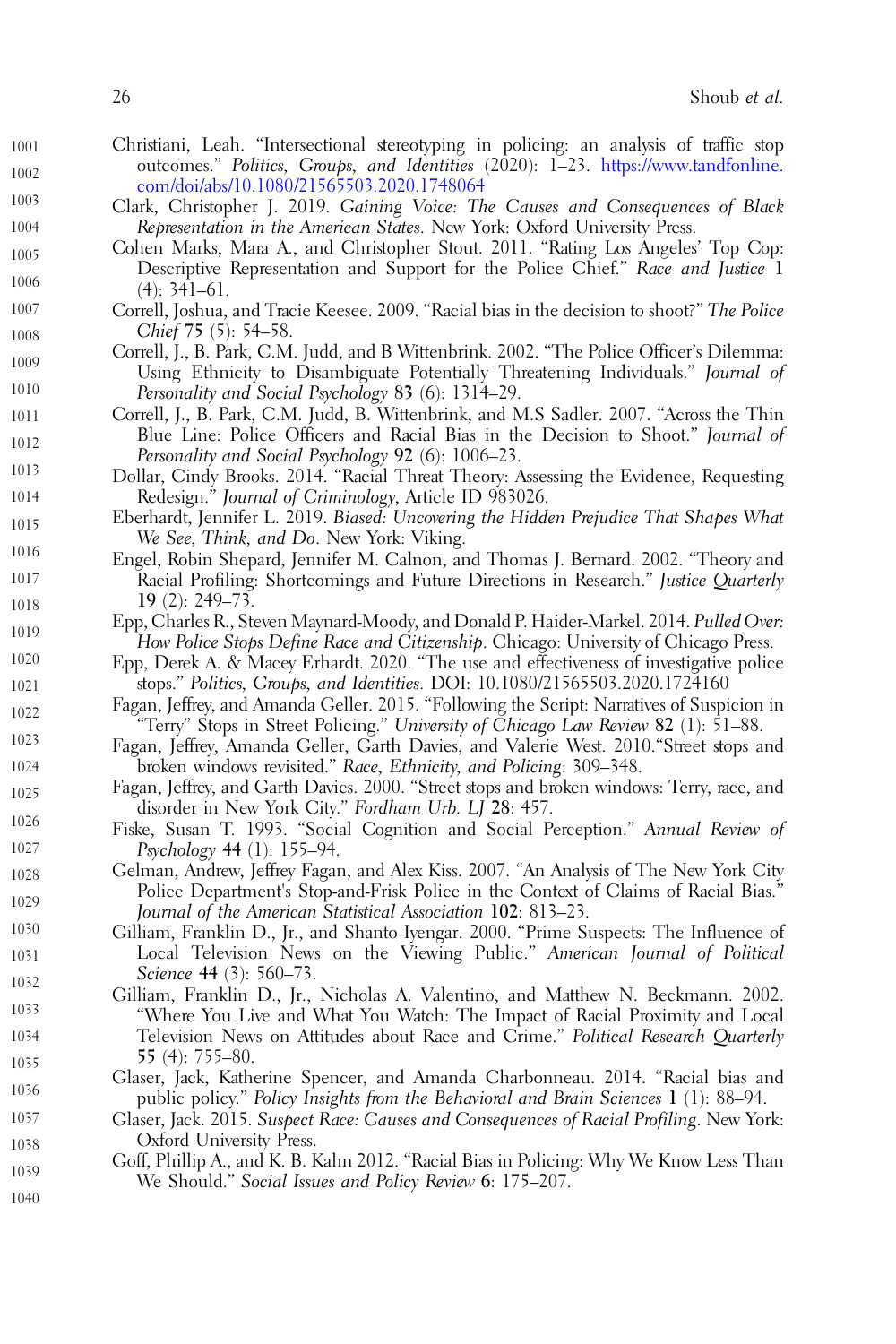- <span id="page-25-0"></span>Christiani, Leah. "Intersectional stereotyping in policing: an analysis of traffic stop outcomes." Politics, Groups, and Identities (2020): 1–23. [https://www.tandfonline.](https://www.tandfonline.com/doi/abs/10.1080/21565503.2020.1748064) [com/doi/abs/10.1080/21565503.2020.1748064](https://www.tandfonline.com/doi/abs/10.1080/21565503.2020.1748064) 1001 1002
- Clark, Christopher J. 2019. Gaining Voice: The Causes and Consequences of Black Representation in the American States. New York: Oxford University Press. 1003 1004
- Cohen Marks, Mara A., and Christopher Stout. 2011. "Rating Los Angeles' Top Cop: Descriptive Representation and Support for the Police Chief." Race and Justice 1 (4): 341–61. 1005 1006
- Correll, Joshua, and Tracie Keesee. 2009. "Racial bias in the decision to shoot?" The Police Chief 75 (5): 54–58. 1007 1008
- Correll, J., B. Park, C.M. Judd, and B Wittenbrink. 2002. "The Police Officer's Dilemma: Using Ethnicity to Disambiguate Potentially Threatening Individuals." Journal of Personality and Social Psychology 83 (6): 1314–29. 1009 1010
- Correll, J., B. Park, C.M. Judd, B. Wittenbrink, and M.S Sadler. 2007. "Across the Thin Blue Line: Police Officers and Racial Bias in the Decision to Shoot." Journal of Personality and Social Psychology 92 (6): 1006–23. 1011 1012 1013
- Dollar, Cindy Brooks. 2014. "Racial Threat Theory: Assessing the Evidence, Requesting Redesign." Journal of Criminology, Article ID 983026. 1014
- Eberhardt, Jennifer L. 2019. Biased: Uncovering the Hidden Prejudice That Shapes What We See, Think, and Do. New York: Viking. 1015 1016
- Engel, Robin Shepard, Jennifer M. Calnon, and Thomas J. Bernard. 2002. "Theory and Racial Profiling: Shortcomings and Future Directions in Research." Justice Quarterly 19 (2): 249–73. 1017 1018
- Epp, Charles R., Steven Maynard-Moody, and Donald P. Haider-Markel. 2014. Pulled Over: How Police Stops Define Race and Citizenship. Chicago: University of Chicago Press. 1019
- Epp, Derek A. & Macey Erhardt. 2020. "The use and effectiveness of investigative police stops." Politics, Groups, and Identities. DOI: 10.1080/21565503.2020.1724160 1020 1021
- Fagan, Jeffrey, and Amanda Geller. 2015. "Following the Script: Narratives of Suspicion in "Terry" Stops in Street Policing." University of Chicago Law Review 82 (1): 51–88. 1022
- Fagan, Jeffrey, Amanda Geller, Garth Davies, and Valerie West. 2010."Street stops and broken windows revisited." Race, Ethnicity, and Policing: 309–348. 1023 1024
- Fagan, Jeffrey, and Garth Davies. 2000. "Street stops and broken windows: Terry, race, and disorder in New York City." Fordham Urb. LJ 28: 457. 1025 1026
- Fiske, Susan T. 1993. "Social Cognition and Social Perception." Annual Review of Psychology 44 (1): 155–94. 1027
- Gelman, Andrew, Jeffrey Fagan, and Alex Kiss. 2007. "An Analysis of The New York City Police Department's Stop-and-Frisk Police in the Context of Claims of Racial Bias." Journal of the American Statistical Association 102: 813–23. 1028 1029
- Gilliam, Franklin D., Jr., and Shanto Iyengar. 2000. "Prime Suspects: The Influence of Local Television News on the Viewing Public." American Journal of Political Science 44 (3): 560-73. 1030 1031 1032
- Gilliam, Franklin D., Jr., Nicholas A. Valentino, and Matthew N. Beckmann. 2002. "Where You Live and What You Watch: The Impact of Racial Proximity and Local Television News on Attitudes about Race and Crime." Political Research Quarterly 55 (4): 755–80. 1033 1034 1035
- Glaser, Jack, Katherine Spencer, and Amanda Charbonneau. 2014. "Racial bias and public policy." Policy Insights from the Behavioral and Brain Sciences 1 (1): 88–94. 1036
- Glaser, Jack. 2015. Suspect Race: Causes and Consequences of Racial Profiling. New York: Oxford University Press. 1037 1038
- Goff, Phillip A., and K. B. Kahn 2012. "Racial Bias in Policing: Why We Know Less Than We Should." Social Issues and Policy Review 6: 175–207. 1039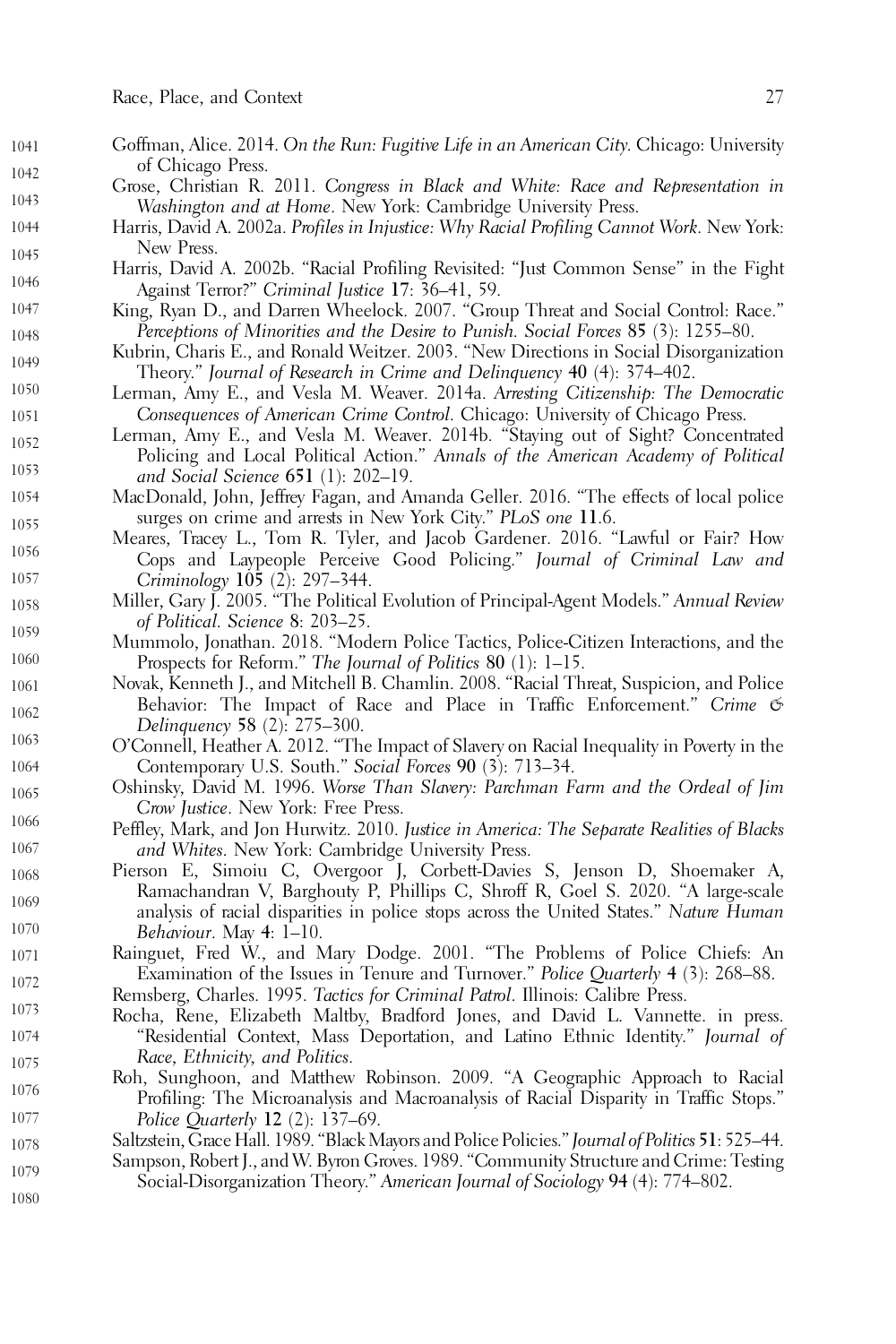- <span id="page-26-0"></span>Goffman, Alice. 2014. On the Run: Fugitive Life in an American City. Chicago: University of Chicago Press. 1041 1042
- Grose, Christian R. 2011. Congress in Black and White: Race and Representation in Washington and at Home. New York: Cambridge University Press. 1043
- Harris, David A. 2002a. Profiles in Injustice: Why Racial Profiling Cannot Work. New York: New Press. 1044 1045
- Harris, David A. 2002b. "Racial Profiling Revisited: "Just Common Sense" in the Fight Against Terror?" Criminal Justice 17: 36–41, 59. 1046
- King, Ryan D., and Darren Wheelock. 2007. "Group Threat and Social Control: Race." Perceptions of Minorities and the Desire to Punish. Social Forces 85 (3): 1255–80. 1047 1048
- Kubrin, Charis E., and Ronald Weitzer. 2003. "New Directions in Social Disorganization Theory." Journal of Research in Crime and Delinquency 40 (4): 374–402. 1049
- Lerman, Amy E., and Vesla M. Weaver. 2014a. Arresting Citizenship: The Democratic Consequences of American Crime Control. Chicago: University of Chicago Press. 1050 1051
- Lerman, Amy E., and Vesla M. Weaver. 2014b. "Staying out of Sight? Concentrated Policing and Local Political Action." Annals of the American Academy of Political and Social Science 651 (1): 202–19. 1052 1053
- MacDonald, John, Jeffrey Fagan, and Amanda Geller. 2016. "The effects of local police surges on crime and arrests in New York City." PLoS one 11.6. 1054 1055
- Meares, Tracey L., Tom R. Tyler, and Jacob Gardener. 2016. "Lawful or Fair? How Cops and Laypeople Perceive Good Policing." Journal of Criminal Law and Criminology 105 (2): 297–344. 1056 1057
- Miller, Gary J. 2005. "The Political Evolution of Principal-Agent Models." Annual Review of Political. Science 8: 203–25. 1058 1059
- Mummolo, Jonathan. 2018. "Modern Police Tactics, Police-Citizen Interactions, and the Prospects for Reform." The Journal of Politics 80 (1): 1–15. 1060
- Novak, Kenneth J., and Mitchell B. Chamlin. 2008. "Racial Threat, Suspicion, and Police Behavior: The Impact of Race and Place in Traffic Enforcement." Crime & Delinquency 58 (2): 275–300. 1061 1062 1063
- O'Connell, Heather A. 2012. "The Impact of Slavery on Racial Inequality in Poverty in the Contemporary U.S. South." Social Forces 90 (3): 713–34. 1064
- Oshinsky, David M. 1996. Worse Than Slavery: Parchman Farm and the Ordeal of Jim Crow Justice. New York: Free Press. 1065 1066
- Peffley, Mark, and Jon Hurwitz. 2010. Justice in America: The Separate Realities of Blacks and Whites. New York: Cambridge University Press. 1067
- Pierson E, Simoiu C, Overgoor J, Corbett-Davies S, Jenson D, Shoemaker A, Ramachandran V, Barghouty P, Phillips C, Shroff R, Goel S. 2020. "A large-scale analysis of racial disparities in police stops across the United States." Nature Human Behaviour. May 4: 1–10. 1068 1069 1070
- Rainguet, Fred W., and Mary Dodge. 2001. "The Problems of Police Chiefs: An Examination of the Issues in Tenure and Turnover." Police Quarterly 4 (3): 268–88. 1071 1072
	- Remsberg, Charles. 1995. Tactics for Criminal Patrol. Illinois: Calibre Press.
- Rocha, Rene, Elizabeth Maltby, Bradford Jones, and David L. Vannette. in press. "Residential Context, Mass Deportation, and Latino Ethnic Identity." Journal of Race, Ethnicity, and Politics. 1073 1074 1075
- Roh, Sunghoon, and Matthew Robinson. 2009. "A Geographic Approach to Racial Profiling: The Microanalysis and Macroanalysis of Racial Disparity in Traffic Stops." Police Quarterly 12 (2): 137–69. 1076 1077
- Saltzstein, Grace Hall. 1989. "Black Mayors and Police Policies." Journal of Politics 51: 525–44. 1078
- Sampson, Robert J., and W. Byron Groves. 1989. "Community Structure and Crime: Testing Social-Disorganization Theory." American Journal of Sociology 94 (4): 774–802. 1079 1080